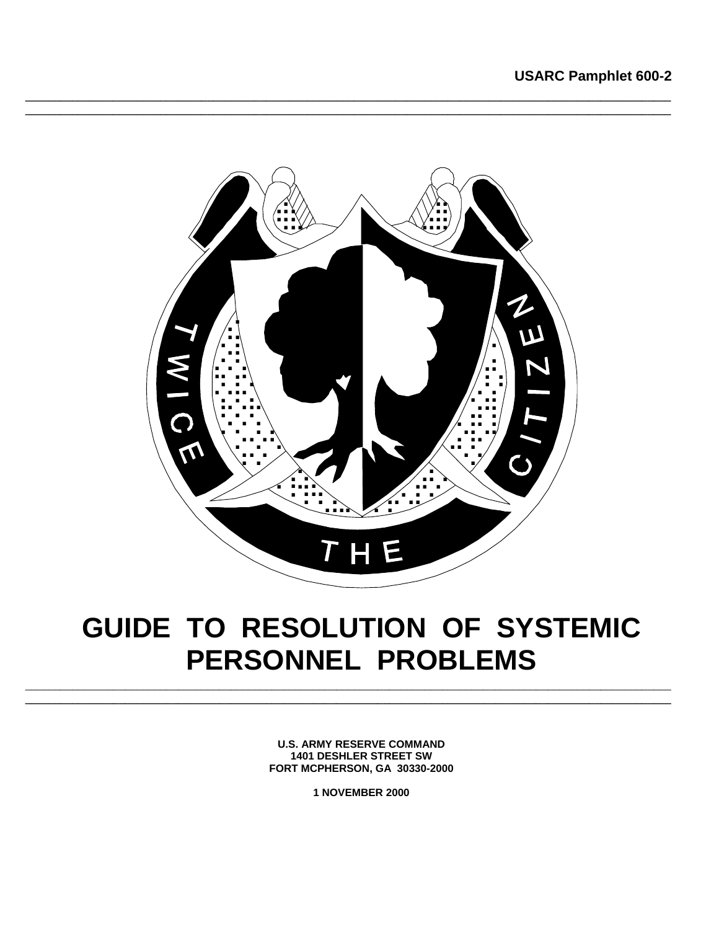

## GUIDE TO RESOLUTION OF SYSTEMIC PERSONNEL PROBLEMS

**U.S. ARMY RESERVE COMMAND 1401 DESHLER STREET SW** FORT MCPHERSON, GA 30330-2000

1 NOVEMBER 2000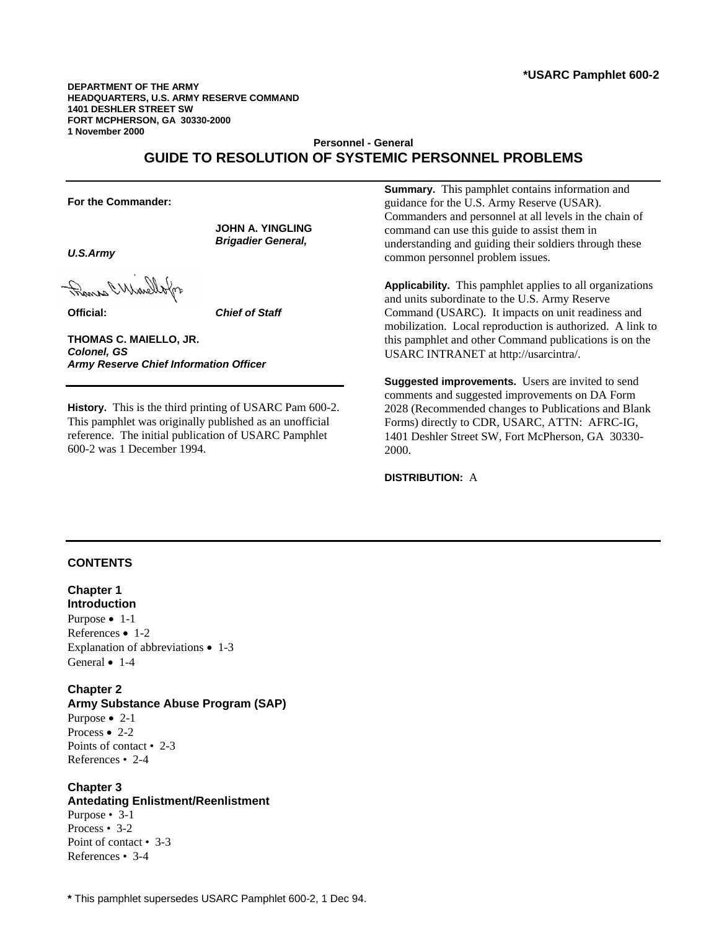**DEPARTMENT OF THE ARMY HEADQUARTERS, U.S. ARMY RESERVE COMMAND 1401 DESHLER STREET SW FORT MCPHERSON, GA 30330-2000 1 November 2000** 

## **Personnel - General GUIDE TO RESOLUTION OF SYSTEMIC PERSONNEL PROBLEMS**

**For the Commander:** 

*U.S.Army* 

When When I wonder

**Official:** *Chief of Staff*

**JOHN A. YINGLING**  *Brigadier General,* 

**THOMAS C. MAIELLO, JR.** *Colonel, GS Army Reserve Chief Information Officer* 

**History.** This is the third printing of USARC Pam 600-2. This pamphlet was originally published as an unofficial reference. The initial publication of USARC Pamphlet 600-2 was 1 December 1994.

**Summary.** This pamphlet contains information and guidance for the U.S. Army Reserve (USAR). Commanders and personnel at all levels in the chain of command can use this guide to assist them in understanding and guiding their soldiers through these common personnel problem issues.

**Applicability.** This pamphlet applies to all organizations and units subordinate to the U.S. Army Reserve Command (USARC). It impacts on unit readiness and mobilization. Local reproduction is authorized. A link to this pamphlet and other Command publications is on the USARC INTRANET at http://usarcintra/.

**Suggested improvements.** Users are invited to send comments and suggested improvements on DA Form 2028 (Recommended changes to Publications and Blank Forms) directly to CDR, USARC, ATTN: AFRC-IG, 1401 Deshler Street SW, Fort McPherson, GA 30330- 2000.

**DISTRIBUTION:** A

#### **CONTENTS**

**Chapter 1 Introduction**  Purpose • 1-1 References • 1-2 Explanation of abbreviations • 1-3 General • 1-4

**Chapter 2 Army Substance Abuse Program (SAP)**  Purpose • 2-1 Process • 2-2 Points of contact • 2-3 References • 2-4

#### **Chapter 3 Antedating Enlistment/Reenlistment**  Purpose • 3-1 Process • 3-2 Point of contact • 3-3 References • 3-4

**\*** This pamphlet supersedes USARC Pamphlet 600-2, 1 Dec 94.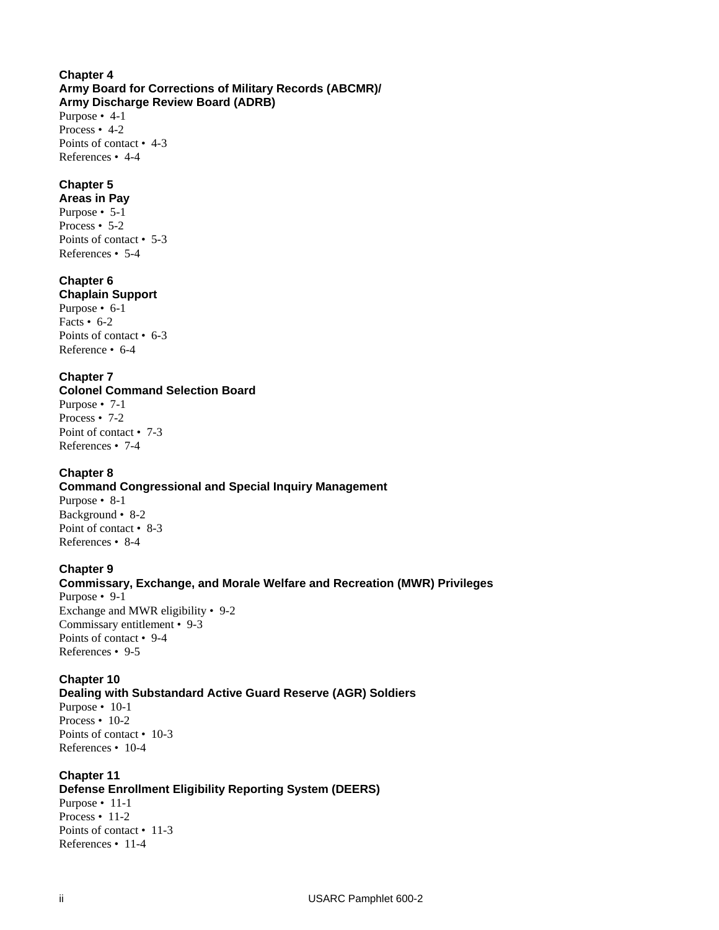#### **Chapter 4 Army Board for Corrections of Military Records (ABCMR)/ Army Discharge Review Board (ADRB)**

Purpose • 4-1 Process • 4-2 Points of contact • 4-3 References • 4-4

## **Chapter 5**

**Areas in Pay** Purpose • 5-1 Process • 5-2 Points of contact • 5-3 References • 5-4

## **Chapter 6**

**Chaplain Support** 

Purpose • 6-1 Facts • 6-2 Points of contact • 6-3 Reference • 6-4

## **Chapter 7**

**Colonel Command Selection Board**  Purpose • 7-1 Process • 7-2 Point of contact • 7-3

References • 7-4

## **Chapter 8**

#### **Command Congressional and Special Inquiry Management**  Purpose • 8-1

Background • 8-2 Point of contact • 8-3 References • 8-4

## **Chapter 9**

**Commissary, Exchange, and Morale Welfare and Recreation (MWR) Privileges**  Purpose • 9-1 Exchange and MWR eligibility • 9-2 Commissary entitlement • 9-3 Points of contact • 9-4 References • 9-5

## **Chapter 10**

## **Dealing with Substandard Active Guard Reserve (AGR) Soldiers**

Purpose • 10-1 Process • 10-2 Points of contact • 10-3 References • 10-4

## **Chapter 11**

**Defense Enrollment Eligibility Reporting System (DEERS)**  Purpose • 11-1 Process • 11-2 Points of contact • 11-3 References • 11-4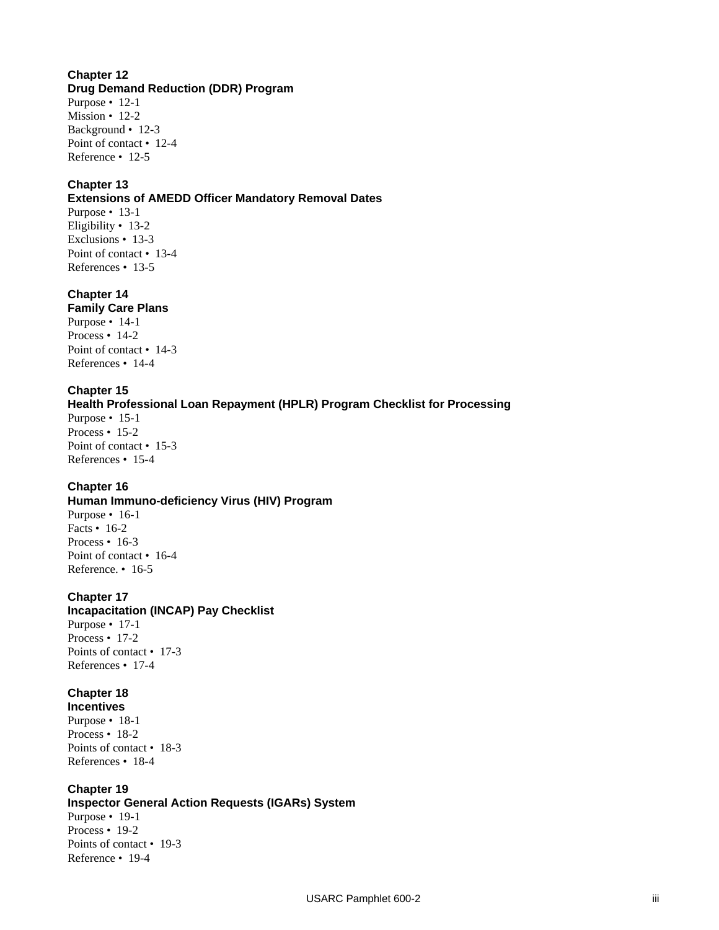#### **Chapter 12 Drug Demand Reduction (DDR) Program**

Purpose • 12-1 Mission • 12-2 Background • 12-3 Point of contact • 12-4 Reference • 12-5

## **Chapter 13**

#### **Extensions of AMEDD Officer Mandatory Removal Dates**

Purpose • 13-1 Eligibility • 13-2 Exclusions • 13-3 Point of contact • 13-4 References • 13-5

## **Chapter 14**

**Family Care Plans**  Purpose • 14-1 Process • 14-2 Point of contact • 14-3 References • 14-4

## **Chapter 15**

**Health Professional Loan Repayment (HPLR) Program Checklist for Processing**  Purpose • 15-1 Process • 15-2 Point of contact • 15-3 References • 15-4

## **Chapter 16**

**Human Immuno-deficiency Virus (HIV) Program**  Purpose • 16-1 Facts • 16-2 Process • 16-3 Point of contact • 16-4 Reference. • 16-5

## **Chapter 17**

**Incapacitation (INCAP) Pay Checklist**  Purpose • 17-1 Process • 17-2 Points of contact • 17-3 References • 17-4

## **Chapter 18**

**Incentives**  Purpose • 18-1 Process • 18-2 Points of contact • 18-3 References • 18-4

## **Chapter 19**

**Inspector General Action Requests (IGARs) System** 

Purpose • 19-1 Process • 19-2 Points of contact • 19-3 Reference • 19-4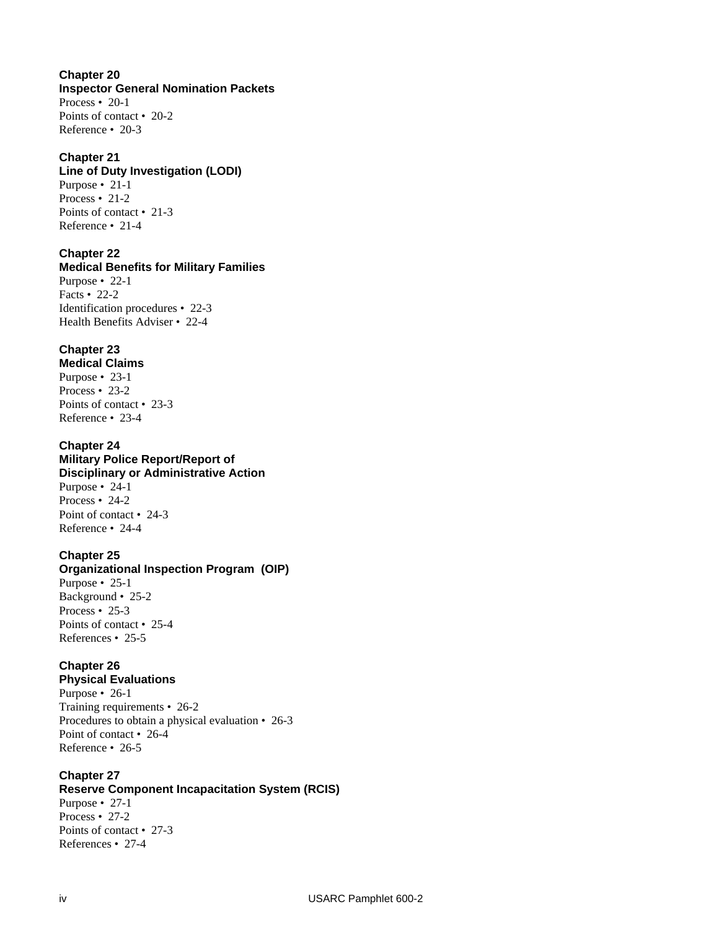**Chapter 20 Inspector General Nomination Packets**  Process • 20-1 Points of contact • 20-2 Reference • 20-3

#### **Chapter 21**

#### **Line of Duty Investigation (LODI)**

Purpose • 21-1 Process • 21-2 Points of contact • 21-3 Reference • 21-4

## **Chapter 22**

**Medical Benefits for Military Families**  Purpose • 22-1 Facts • 22-2 Identification procedures • 22-3 Health Benefits Adviser • 22-4

## **Chapter 23**

**Medical Claims**  Purpose • 23-1 Process • 23-2 Points of contact • 23-3 Reference • 23-4

#### **Chapter 24**

**Military Police Report/Report of Disciplinary or Administrative Action**  Purpose • 24-1 Process • 24-2 Point of contact • 24-3 Reference • 24-4

## **Chapter 25**

**Organizational Inspection Program (OIP)**  Purpose • 25-1 Background • 25-2 Process • 25-3 Points of contact • 25-4 References • 25-5

## **Chapter 26**

**Physical Evaluations**  Purpose • 26-1 Training requirements • 26-2 Procedures to obtain a physical evaluation • 26-3 Point of contact • 26-4 Reference • 26-5

#### **Chapter 27**

**Reserve Component Incapacitation System (RCIS)**  Purpose • 27-1 Process • 27-2

Points of contact • 27-3 References • 27-4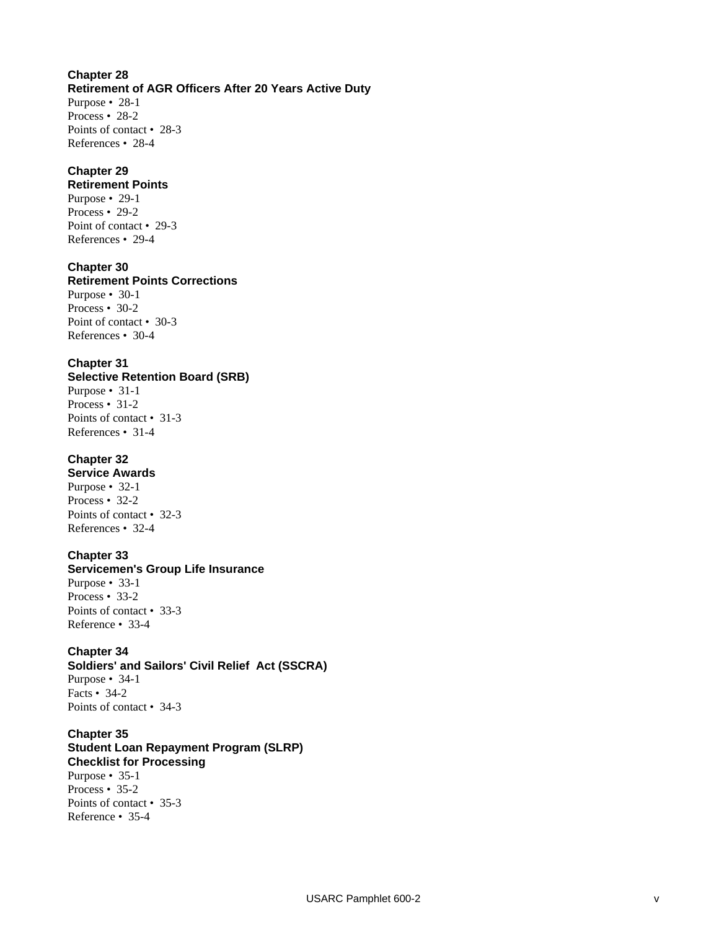#### **Chapter 28 Retirement of AGR Officers After 20 Years Active Duty** Purpose • 28-1 Process • 28-2 Points of contact • 28-3 References • 28-4

## **Chapter 29**

**Retirement Points**  Purpose • 29-1 Process • 29-2 Point of contact • 29-3 References • 29-4

## **Chapter 30**

**Retirement Points Corrections**  Purpose • 30-1 Process • 30-2 Point of contact • 30-3 References • 30-4

## **Chapter 31**

**Selective Retention Board (SRB)**  Purpose • 31-1 Process • 31-2 Points of contact • 31-3 References • 31-4

## **Chapter 32**

**Service Awards**  Purpose • 32-1 Process • 32-2 Points of contact • 32-3 References • 32-4

## **Chapter 33**

**Servicemen's Group Life Insurance**  Purpose • 33-1 Process • 33-2 Points of contact • 33-3 Reference • 33-4

## **Chapter 34**

**Soldiers' and Sailors' Civil Relief Act (SSCRA)**  Purpose • 34-1 Facts • 34-2 Points of contact • 34-3

**Chapter 35 Student Loan Repayment Program (SLRP) Checklist for Processing**  Purpose • 35-1 Process • 35-2 Points of contact • 35-3 Reference • 35-4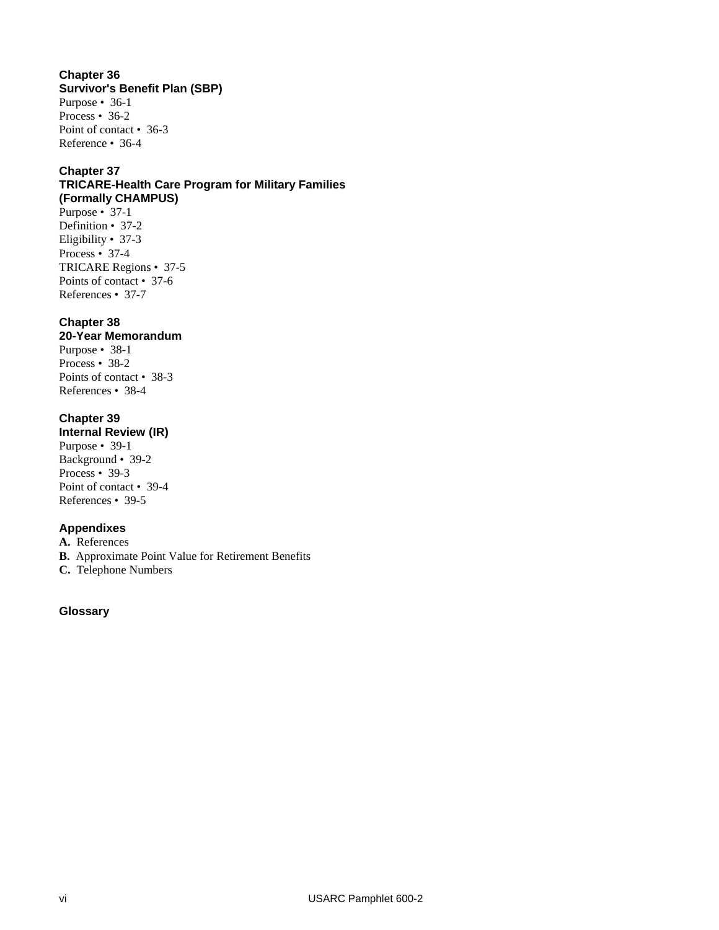## **Chapter 36 Survivor's Benefit Plan (SBP)**

Purpose • 36-1 Process • 36-2 Point of contact • 36-3 Reference • 36-4

## **Chapter 37**

## **TRICARE-Health Care Program for Military Families (Formally CHAMPUS)**

Purpose • 37-1 Definition • 37-2 Eligibility • 37-3 Process • 37-4 TRICARE Regions • 37-5 Points of contact • 37-6 References • 37-7

## **Chapter 38**

## **20-Year Memorandum**

Purpose • 38-1 Process • 38-2 Points of contact • 38-3 References • 38-4

## **Chapter 39**

**Internal Review (IR)** 

Purpose • 39-1 Background • 39-2 Process • 39-3 Point of contact • 39-4 References • 39-5

## **Appendixes**

**A.** References

**B.** Approximate Point Value for Retirement Benefits

**C.** Telephone Numbers

## **Glossary**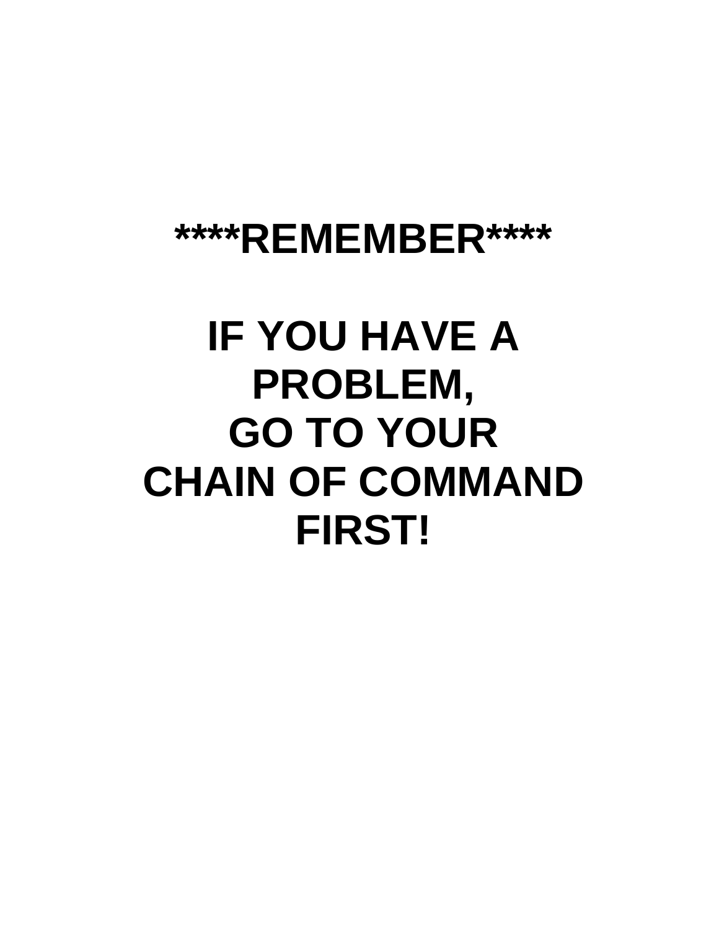## **\*\*\*\*REMEMBER\*\*\*\***

# **IF YOU HAVE A PROBLEM, GO TO YOUR CHAIN OF COMMAND FIRST!**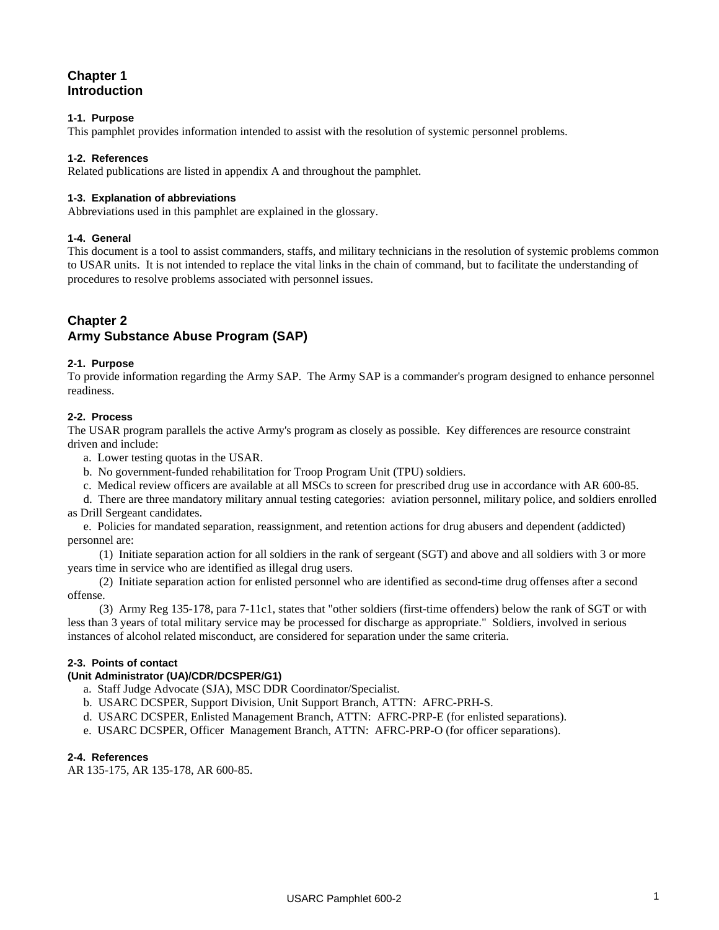## **Chapter 1 Introduction**

#### **1-1. Purpose**

This pamphlet provides information intended to assist with the resolution of systemic personnel problems.

#### **1-2. References**

Related publications are listed in appendix A and throughout the pamphlet.

#### **1-3. Explanation of abbreviations**

Abbreviations used in this pamphlet are explained in the glossary.

#### **1-4. General**

This document is a tool to assist commanders, staffs, and military technicians in the resolution of systemic problems common to USAR units. It is not intended to replace the vital links in the chain of command, but to facilitate the understanding of procedures to resolve problems associated with personnel issues.

## **Chapter 2**

## **Army Substance Abuse Program (SAP)**

#### **2-1. Purpose**

To provide information regarding the Army SAP. The Army SAP is a commander's program designed to enhance personnel readiness.

#### **2-2. Process**

The USAR program parallels the active Army's program as closely as possible. Key differences are resource constraint driven and include:

- a. Lower testing quotas in the USAR.
- b. No government-funded rehabilitation for Troop Program Unit (TPU) soldiers.
- c. Medical review officers are available at all MSCs to screen for prescribed drug use in accordance with AR 600-85.

d. There are three mandatory military annual testing categories: aviation personnel, military police, and soldiers enrolled as Drill Sergeant candidates.

e. Policies for mandated separation, reassignment, and retention actions for drug abusers and dependent (addicted) personnel are:

(1) Initiate separation action for all soldiers in the rank of sergeant (SGT) and above and all soldiers with 3 or more years time in service who are identified as illegal drug users.

(2) Initiate separation action for enlisted personnel who are identified as second-time drug offenses after a second offense.

(3) Army Reg 135-178, para 7-11c1, states that "other soldiers (first-time offenders) below the rank of SGT or with less than 3 years of total military service may be processed for discharge as appropriate." Soldiers, involved in serious instances of alcohol related misconduct, are considered for separation under the same criteria.

#### **2-3. Points of contact**

#### **(Unit Administrator (UA)/CDR/DCSPER/G1)**

- a. Staff Judge Advocate (SJA), MSC DDR Coordinator/Specialist.
- b. USARC DCSPER, Support Division, Unit Support Branch, ATTN: AFRC-PRH-S.
- d. USARC DCSPER, Enlisted Management Branch, ATTN: AFRC-PRP-E (for enlisted separations).
- e. USARC DCSPER, Officer Management Branch, ATTN: AFRC-PRP-O (for officer separations).

#### **2-4. References**

AR 135-175, AR 135-178, AR 600-85.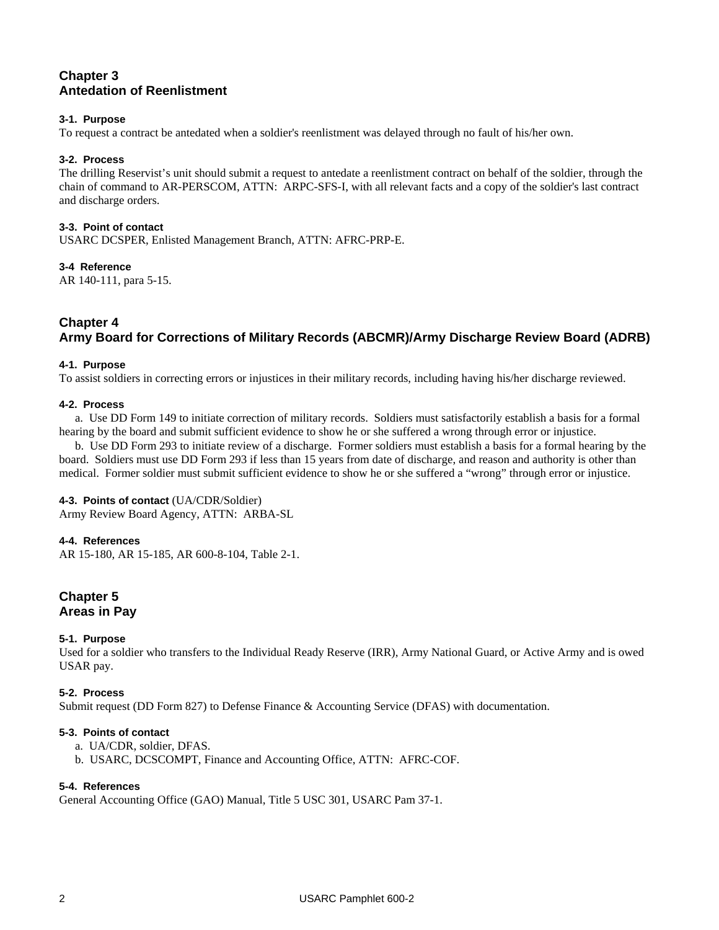## **Chapter 3 Antedation of Reenlistment**

#### **3-1. Purpose**

To request a contract be antedated when a soldier's reenlistment was delayed through no fault of his/her own.

#### **3-2. Process**

The drilling Reservist's unit should submit a request to antedate a reenlistment contract on behalf of the soldier, through the chain of command to AR-PERSCOM, ATTN: ARPC-SFS-I, with all relevant facts and a copy of the soldier's last contract and discharge orders.

#### **3-3. Point of contact**

USARC DCSPER, Enlisted Management Branch, ATTN: AFRC-PRP-E.

#### **3-4 Reference**

AR 140-111, para 5-15.

#### **Chapter 4 Army Board for Corrections of Military Records (ABCMR)/Army Discharge Review Board (ADRB)**

#### **4-1. Purpose**

To assist soldiers in correcting errors or injustices in their military records, including having his/her discharge reviewed.

#### **4-2. Process**

a. Use DD Form 149 to initiate correction of military records. Soldiers must satisfactorily establish a basis for a formal hearing by the board and submit sufficient evidence to show he or she suffered a wrong through error or injustice.

b. Use DD Form 293 to initiate review of a discharge. Former soldiers must establish a basis for a formal hearing by the board. Soldiers must use DD Form 293 if less than 15 years from date of discharge, and reason and authority is other than medical. Former soldier must submit sufficient evidence to show he or she suffered a "wrong" through error or injustice.

#### **4-3. Points of contact** (UA/CDR/Soldier)

Army Review Board Agency, ATTN: ARBA-SL

#### **4-4. References**

AR 15-180, AR 15-185, AR 600-8-104, Table 2-1.

## **Chapter 5 Areas in Pay**

#### **5-1. Purpose**

Used for a soldier who transfers to the Individual Ready Reserve (IRR), Army National Guard, or Active Army and is owed USAR pay.

#### **5-2. Process**

Submit request (DD Form 827) to Defense Finance & Accounting Service (DFAS) with documentation.

#### **5-3. Points of contact**

- a. UA/CDR, soldier, DFAS.
- b. USARC, DCSCOMPT, Finance and Accounting Office, ATTN: AFRC-COF.

#### **5-4. References**

General Accounting Office (GAO) Manual, Title 5 USC 301, USARC Pam 37-1.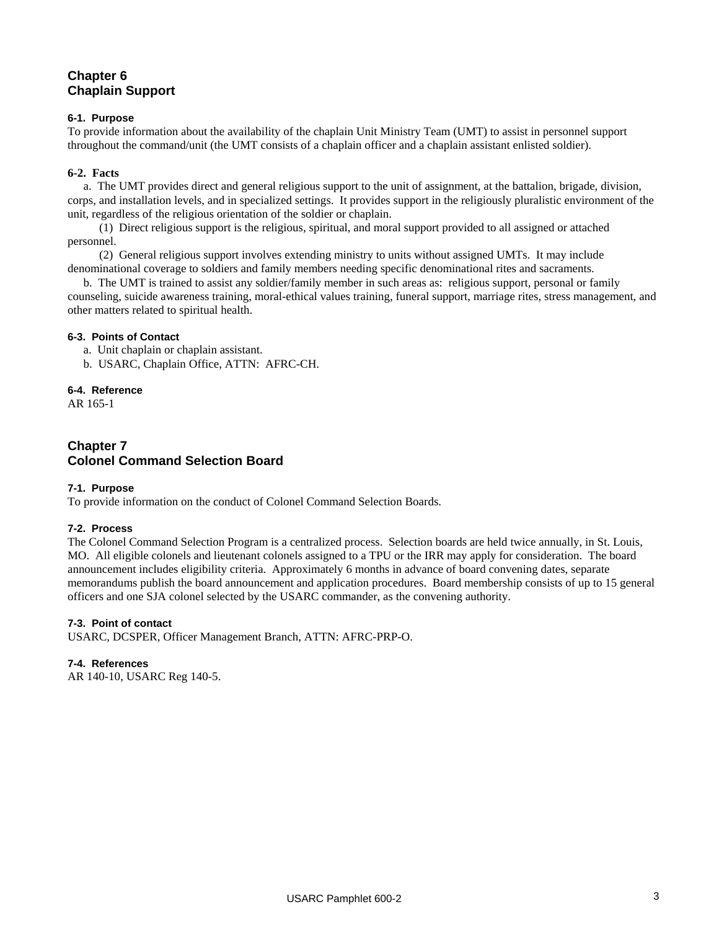## **Chapter 6 Chaplain Support**

#### **6-1. Purpose**

To provide information about the availability of the chaplain Unit Ministry Team (UMT) to assist in personnel support throughout the command/unit (the UMT consists of a chaplain officer and a chaplain assistant enlisted soldier).

#### **6-2. Facts**

a. The UMT provides direct and general religious support to the unit of assignment, at the battalion, brigade, division, corps, and installation levels, and in specialized settings. It provides support in the religiously pluralistic environment of the unit, regardless of the religious orientation of the soldier or chaplain.

(1) Direct religious support is the religious, spiritual, and moral support provided to all assigned or attached personnel.

(2) General religious support involves extending ministry to units without assigned UMTs. It may include denominational coverage to soldiers and family members needing specific denominational rites and sacraments.

b. The UMT is trained to assist any soldier/family member in such areas as: religious support, personal or family counseling, suicide awareness training, moral-ethical values training, funeral support, marriage rites, stress management, and other matters related to spiritual health.

#### **6-3. Points of Contact**

- a. Unit chaplain or chaplain assistant.
- b. USARC, Chaplain Office, ATTN: AFRC-CH.

#### **6-4. Reference**

AR 165-1

## **Chapter 7 Colonel Command Selection Board**

#### **7-1. Purpose**

To provide information on the conduct of Colonel Command Selection Boards.

#### **7-2. Process**

The Colonel Command Selection Program is a centralized process. Selection boards are held twice annually, in St. Louis, MO. All eligible colonels and lieutenant colonels assigned to a TPU or the IRR may apply for consideration. The board announcement includes eligibility criteria. Approximately 6 months in advance of board convening dates, separate memorandums publish the board announcement and application procedures. Board membership consists of up to 15 general officers and one SJA colonel selected by the USARC commander, as the convening authority.

#### **7-3. Point of contact**

USARC, DCSPER, Officer Management Branch, ATTN: AFRC-PRP-O.

#### **7-4. References**

AR 140-10, USARC Reg 140-5.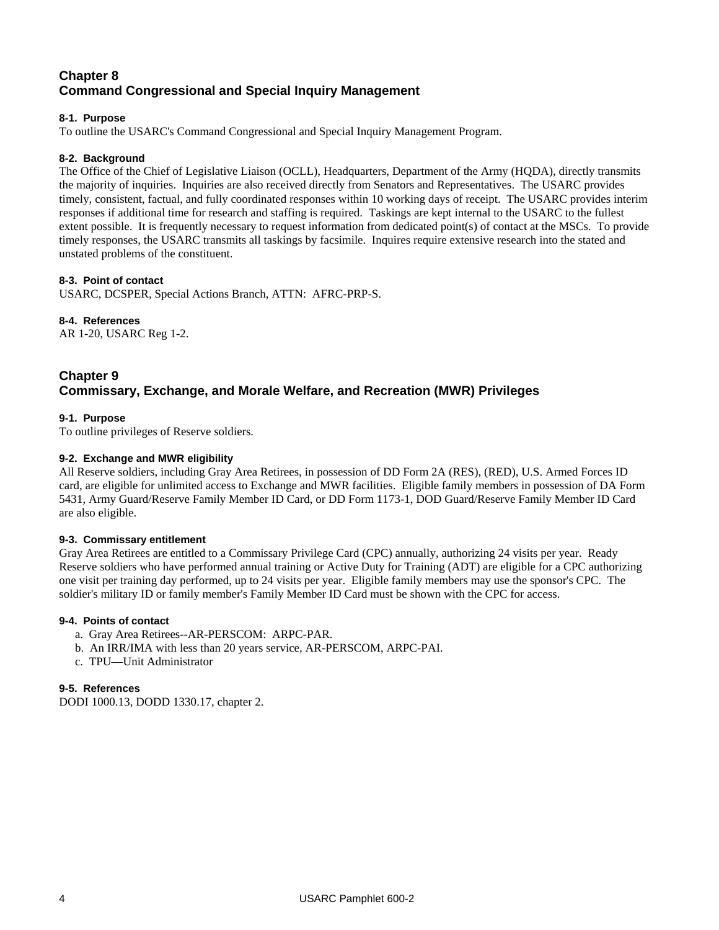## **Chapter 8 Command Congressional and Special Inquiry Management**

#### **8-1. Purpose**

To outline the USARC's Command Congressional and Special Inquiry Management Program.

#### **8-2. Background**

The Office of the Chief of Legislative Liaison (OCLL), Headquarters, Department of the Army (HQDA), directly transmits the majority of inquiries. Inquiries are also received directly from Senators and Representatives. The USARC provides timely, consistent, factual, and fully coordinated responses within 10 working days of receipt. The USARC provides interim responses if additional time for research and staffing is required. Taskings are kept internal to the USARC to the fullest extent possible. It is frequently necessary to request information from dedicated point(s) of contact at the MSCs. To provide timely responses, the USARC transmits all taskings by facsimile. Inquires require extensive research into the stated and unstated problems of the constituent.

#### **8-3. Point of contact**

USARC, DCSPER, Special Actions Branch, ATTN: AFRC-PRP-S.

#### **8-4. References**

AR 1-20, USARC Reg 1-2.

## **Chapter 9 Commissary, Exchange, and Morale Welfare, and Recreation (MWR) Privileges**

#### **9-1. Purpose**

To outline privileges of Reserve soldiers.

#### **9-2. Exchange and MWR eligibility**

All Reserve soldiers, including Gray Area Retirees, in possession of DD Form 2A (RES), (RED), U.S. Armed Forces ID card, are eligible for unlimited access to Exchange and MWR facilities. Eligible family members in possession of DA Form 5431, Army Guard/Reserve Family Member ID Card, or DD Form 1173-1, DOD Guard/Reserve Family Member ID Card are also eligible.

#### **9-3. Commissary entitlement**

Gray Area Retirees are entitled to a Commissary Privilege Card (CPC) annually, authorizing 24 visits per year. Ready Reserve soldiers who have performed annual training or Active Duty for Training (ADT) are eligible for a CPC authorizing one visit per training day performed, up to 24 visits per year. Eligible family members may use the sponsor's CPC. The soldier's military ID or family member's Family Member ID Card must be shown with the CPC for access.

#### **9-4. Points of contact**

- a. Gray Area Retirees--AR-PERSCOM: ARPC-PAR.
- b. An IRR/IMA with less than 20 years service, AR-PERSCOM, ARPC-PAI.
- c. TPU—Unit Administrator

#### **9-5. References**

DODI 1000.13, DODD 1330.17, chapter 2.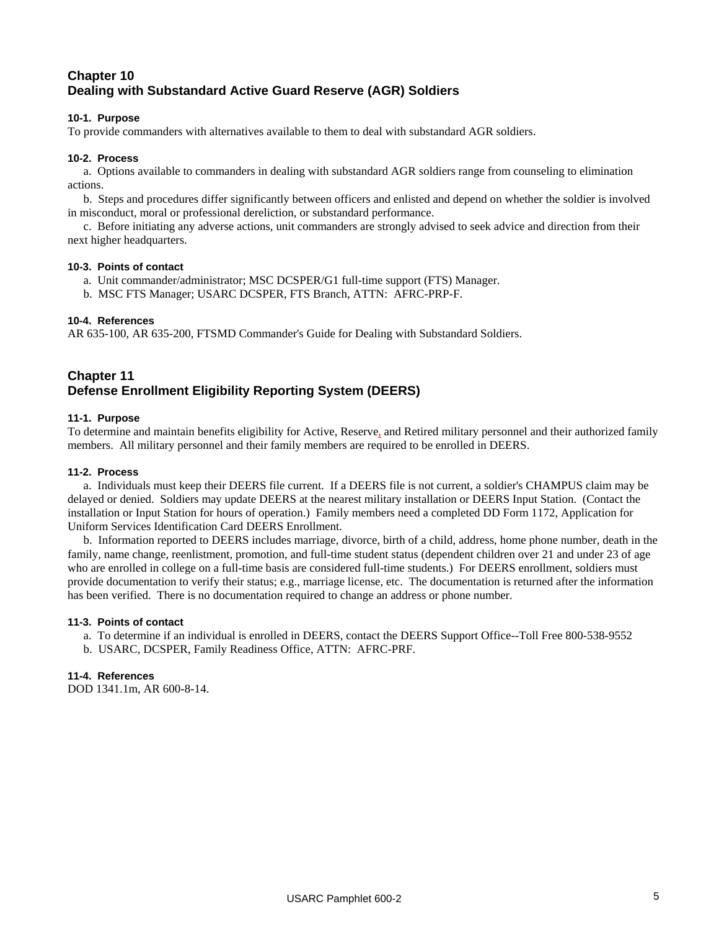## **Chapter 10 Dealing with Substandard Active Guard Reserve (AGR) Soldiers**

#### **10-1. Purpose**

To provide commanders with alternatives available to them to deal with substandard AGR soldiers.

#### **10-2. Process**

a. Options available to commanders in dealing with substandard AGR soldiers range from counseling to elimination actions.

b. Steps and procedures differ significantly between officers and enlisted and depend on whether the soldier is involved in misconduct, moral or professional dereliction, or substandard performance.

c. Before initiating any adverse actions, unit commanders are strongly advised to seek advice and direction from their next higher headquarters.

#### **10-3. Points of contact**

- a. Unit commander/administrator; MSC DCSPER/G1 full-time support (FTS) Manager.
- b. MSC FTS Manager; USARC DCSPER, FTS Branch, ATTN: AFRC-PRP-F.

#### **10-4. References**

AR 635-100, AR 635-200, FTSMD Commander's Guide for Dealing with Substandard Soldiers.

## **Chapter 11 Defense Enrollment Eligibility Reporting System (DEERS)**

#### **11-1. Purpose**

To determine and maintain benefits eligibility for Active, Reserve, and Retired military personnel and their authorized family members. All military personnel and their family members are required to be enrolled in DEERS.

#### **11-2. Process**

a. Individuals must keep their DEERS file current. If a DEERS file is not current, a soldier's CHAMPUS claim may be delayed or denied. Soldiers may update DEERS at the nearest military installation or DEERS Input Station. (Contact the installation or Input Station for hours of operation.) Family members need a completed DD Form 1172, Application for Uniform Services Identification Card DEERS Enrollment.

b. Information reported to DEERS includes marriage, divorce, birth of a child, address, home phone number, death in the family, name change, reenlistment, promotion, and full-time student status (dependent children over 21 and under 23 of age who are enrolled in college on a full-time basis are considered full-time students.) For DEERS enrollment, soldiers must provide documentation to verify their status; e.g., marriage license, etc. The documentation is returned after the information has been verified. There is no documentation required to change an address or phone number.

#### **11-3. Points of contact**

- a. To determine if an individual is enrolled in DEERS, contact the DEERS Support Office--Toll Free 800-538-9552
- b. USARC, DCSPER, Family Readiness Office, ATTN: AFRC-PRF.

#### **11-4. References**

DOD 1341.1m, AR 600-8-14.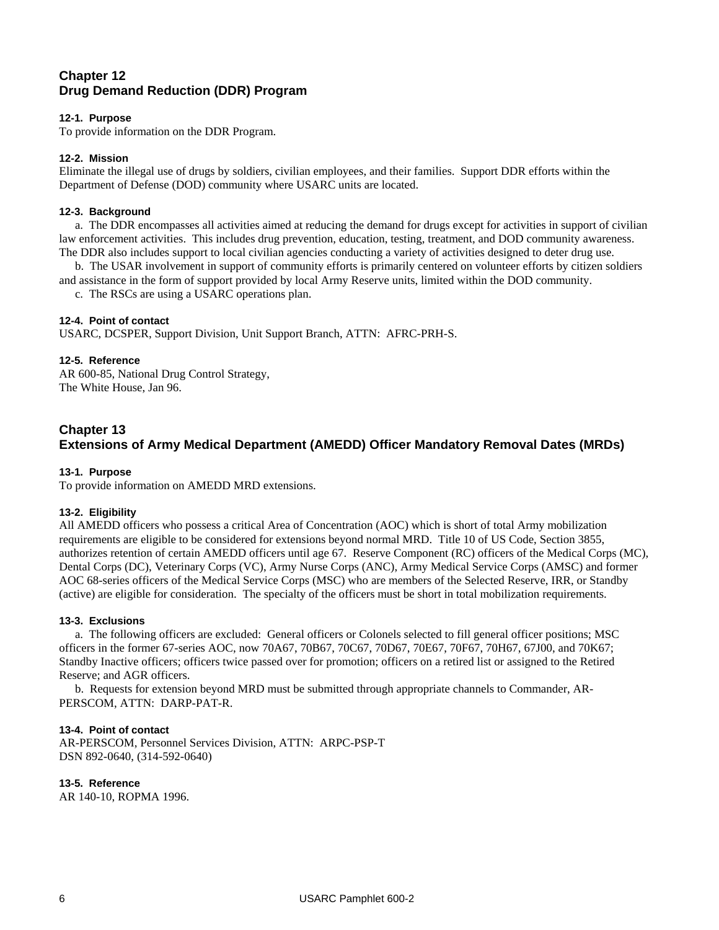## **Chapter 12 Drug Demand Reduction (DDR) Program**

#### **12-1. Purpose**

To provide information on the DDR Program.

#### **12-2. Mission**

Eliminate the illegal use of drugs by soldiers, civilian employees, and their families. Support DDR efforts within the Department of Defense (DOD) community where USARC units are located.

#### **12-3. Background**

a. The DDR encompasses all activities aimed at reducing the demand for drugs except for activities in support of civilian law enforcement activities. This includes drug prevention, education, testing, treatment, and DOD community awareness. The DDR also includes support to local civilian agencies conducting a variety of activities designed to deter drug use.

b. The USAR involvement in support of community efforts is primarily centered on volunteer efforts by citizen soldiers and assistance in the form of support provided by local Army Reserve units, limited within the DOD community.

c. The RSCs are using a USARC operations plan.

#### **12-4. Point of contact**

USARC, DCSPER, Support Division, Unit Support Branch, ATTN: AFRC-PRH-S.

#### **12-5. Reference**

AR 600-85, National Drug Control Strategy, The White House, Jan 96.

## **Chapter 13 Extensions of Army Medical Department (AMEDD) Officer Mandatory Removal Dates (MRDs)**

#### **13-1. Purpose**

To provide information on AMEDD MRD extensions.

#### **13-2. Eligibility**

All AMEDD officers who possess a critical Area of Concentration (AOC) which is short of total Army mobilization requirements are eligible to be considered for extensions beyond normal MRD. Title 10 of US Code, Section 3855, authorizes retention of certain AMEDD officers until age 67. Reserve Component (RC) officers of the Medical Corps (MC), Dental Corps (DC), Veterinary Corps (VC), Army Nurse Corps (ANC), Army Medical Service Corps (AMSC) and former AOC 68-series officers of the Medical Service Corps (MSC) who are members of the Selected Reserve, IRR, or Standby (active) are eligible for consideration. The specialty of the officers must be short in total mobilization requirements.

#### **13-3. Exclusions**

a. The following officers are excluded: General officers or Colonels selected to fill general officer positions; MSC officers in the former 67-series AOC, now 70A67, 70B67, 70C67, 70D67, 70E67, 70F67, 70H67, 67J00, and 70K67; Standby Inactive officers; officers twice passed over for promotion; officers on a retired list or assigned to the Retired Reserve; and AGR officers.

b. Requests for extension beyond MRD must be submitted through appropriate channels to Commander, AR-PERSCOM, ATTN: DARP-PAT-R.

#### **13-4. Point of contact**

AR-PERSCOM, Personnel Services Division, ATTN: ARPC-PSP-T DSN 892-0640, (314-592-0640)

**13-5. Reference** 

AR 140-10, ROPMA 1996.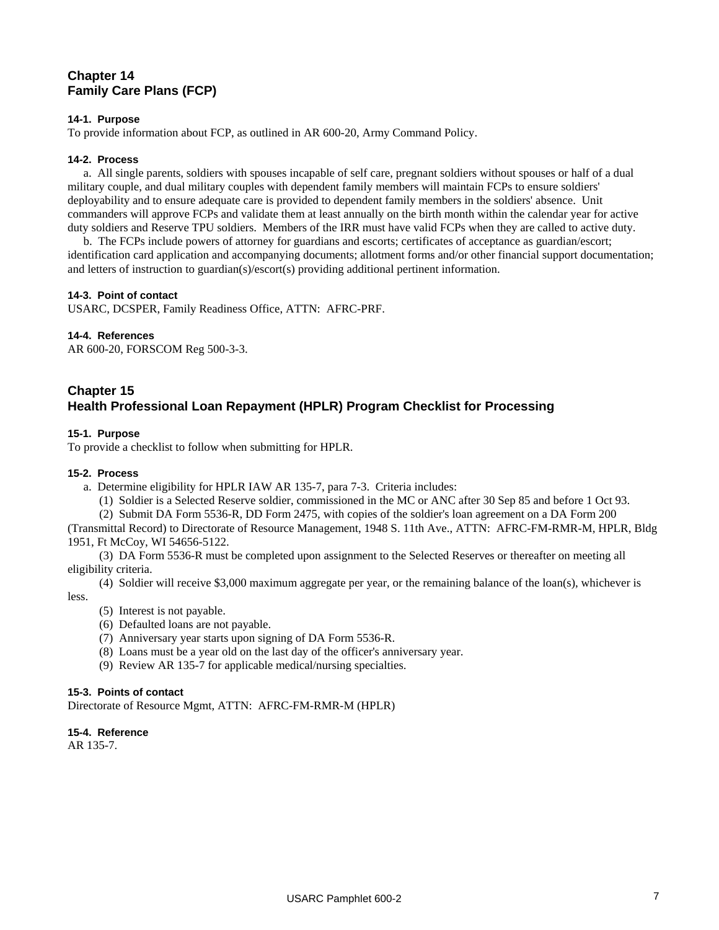## **Chapter 14 Family Care Plans (FCP)**

#### **14-1. Purpose**

To provide information about FCP, as outlined in AR 600-20, Army Command Policy.

#### **14-2. Process**

a. All single parents, soldiers with spouses incapable of self care, pregnant soldiers without spouses or half of a dual military couple, and dual military couples with dependent family members will maintain FCPs to ensure soldiers' deployability and to ensure adequate care is provided to dependent family members in the soldiers' absence. Unit commanders will approve FCPs and validate them at least annually on the birth month within the calendar year for active duty soldiers and Reserve TPU soldiers. Members of the IRR must have valid FCPs when they are called to active duty.

b. The FCPs include powers of attorney for guardians and escorts; certificates of acceptance as guardian/escort; identification card application and accompanying documents; allotment forms and/or other financial support documentation; and letters of instruction to guardian(s)/escort(s) providing additional pertinent information.

#### **14-3. Point of contact**

USARC, DCSPER, Family Readiness Office, ATTN: AFRC-PRF.

#### **14-4. References**

AR 600-20, FORSCOM Reg 500-3-3.

## **Chapter 15 Health Professional Loan Repayment (HPLR) Program Checklist for Processing**

#### **15-1. Purpose**

To provide a checklist to follow when submitting for HPLR.

#### **15-2. Process**

- a. Determine eligibility for HPLR IAW AR 135-7, para 7-3. Criteria includes:
	- (1) Soldier is a Selected Reserve soldier, commissioned in the MC or ANC after 30 Sep 85 and before 1 Oct 93.

(2) Submit DA Form 5536-R, DD Form 2475, with copies of the soldier's loan agreement on a DA Form 200

(Transmittal Record) to Directorate of Resource Management, 1948 S. 11th Ave., ATTN: AFRC-FM-RMR-M, HPLR, Bldg 1951, Ft McCoy, WI 54656-5122.

(3) DA Form 5536-R must be completed upon assignment to the Selected Reserves or thereafter on meeting all eligibility criteria.

(4) Soldier will receive \$3,000 maximum aggregate per year, or the remaining balance of the loan(s), whichever is less.

- (5) Interest is not payable.
- (6) Defaulted loans are not payable.
- (7) Anniversary year starts upon signing of DA Form 5536-R.
- (8) Loans must be a year old on the last day of the officer's anniversary year.
- (9) Review AR 135-7 for applicable medical/nursing specialties.

#### **15-3. Points of contact**

Directorate of Resource Mgmt, ATTN: AFRC-FM-RMR-M (HPLR)

#### **15-4. Reference**

AR 135-7.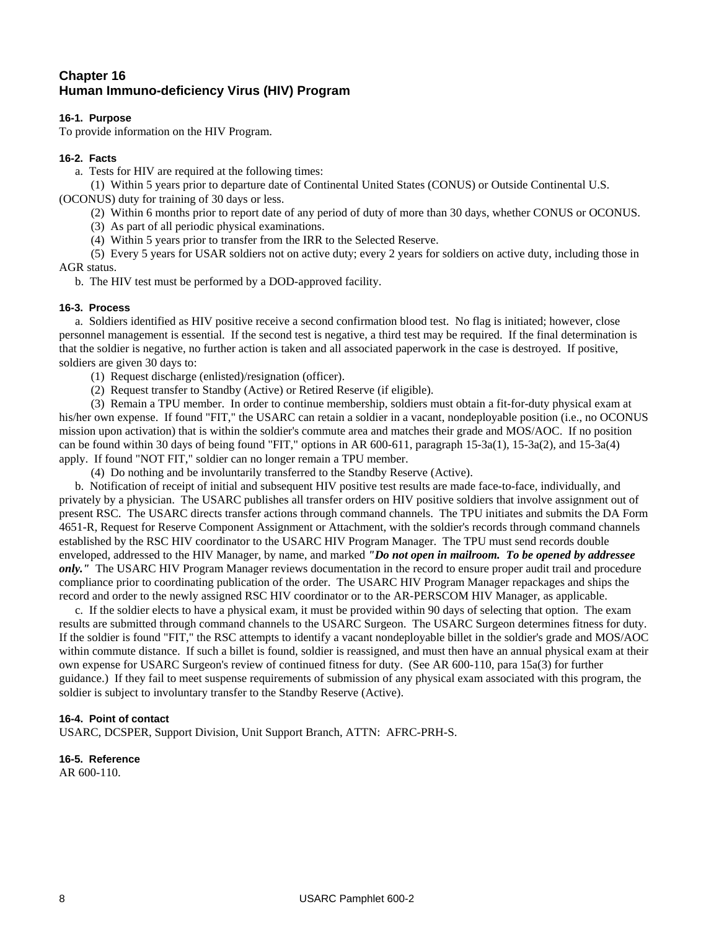## **Chapter 16 Human Immuno-deficiency Virus (HIV) Program**

#### **16-1. Purpose**

To provide information on the HIV Program.

#### **16-2. Facts**

a. Tests for HIV are required at the following times:

(1) Within 5 years prior to departure date of Continental United States (CONUS) or Outside Continental U.S. (OCONUS) duty for training of 30 days or less.

(2) Within 6 months prior to report date of any period of duty of more than 30 days, whether CONUS or OCONUS.

(3) As part of all periodic physical examinations.

(4) Within 5 years prior to transfer from the IRR to the Selected Reserve.

(5) Every 5 years for USAR soldiers not on active duty; every 2 years for soldiers on active duty, including those in AGR status.

b. The HIV test must be performed by a DOD-approved facility.

#### **16-3. Process**

a. Soldiers identified as HIV positive receive a second confirmation blood test. No flag is initiated; however, close personnel management is essential. If the second test is negative, a third test may be required. If the final determination is that the soldier is negative, no further action is taken and all associated paperwork in the case is destroyed. If positive, soldiers are given 30 days to:

(1) Request discharge (enlisted)/resignation (officer).

(2) Request transfer to Standby (Active) or Retired Reserve (if eligible).

(3) Remain a TPU member. In order to continue membership, soldiers must obtain a fit-for-duty physical exam at his/her own expense. If found "FIT," the USARC can retain a soldier in a vacant, nondeployable position (i.e., no OCONUS mission upon activation) that is within the soldier's commute area and matches their grade and MOS/AOC. If no position can be found within 30 days of being found "FIT," options in AR 600-611, paragraph 15-3a(1), 15-3a(2), and 15-3a(4) apply. If found "NOT FIT," soldier can no longer remain a TPU member.

(4) Do nothing and be involuntarily transferred to the Standby Reserve (Active).

b. Notification of receipt of initial and subsequent HIV positive test results are made face-to-face, individually, and privately by a physician. The USARC publishes all transfer orders on HIV positive soldiers that involve assignment out of present RSC. The USARC directs transfer actions through command channels. The TPU initiates and submits the DA Form 4651-R, Request for Reserve Component Assignment or Attachment, with the soldier's records through command channels established by the RSC HIV coordinator to the USARC HIV Program Manager. The TPU must send records double enveloped, addressed to the HIV Manager, by name, and marked *"Do not open in mailroom. To be opened by addressee only."* The USARC HIV Program Manager reviews documentation in the record to ensure proper audit trail and procedure compliance prior to coordinating publication of the order. The USARC HIV Program Manager repackages and ships the record and order to the newly assigned RSC HIV coordinator or to the AR-PERSCOM HIV Manager, as applicable.

c. If the soldier elects to have a physical exam, it must be provided within 90 days of selecting that option. The exam results are submitted through command channels to the USARC Surgeon. The USARC Surgeon determines fitness for duty. If the soldier is found "FIT," the RSC attempts to identify a vacant nondeployable billet in the soldier's grade and MOS/AOC within commute distance. If such a billet is found, soldier is reassigned, and must then have an annual physical exam at their own expense for USARC Surgeon's review of continued fitness for duty. (See AR 600-110, para 15a(3) for further guidance.) If they fail to meet suspense requirements of submission of any physical exam associated with this program, the soldier is subject to involuntary transfer to the Standby Reserve (Active).

#### **16-4. Point of contact**

USARC, DCSPER, Support Division, Unit Support Branch, ATTN: AFRC-PRH-S.

**16-5. Reference** 

AR 600-110.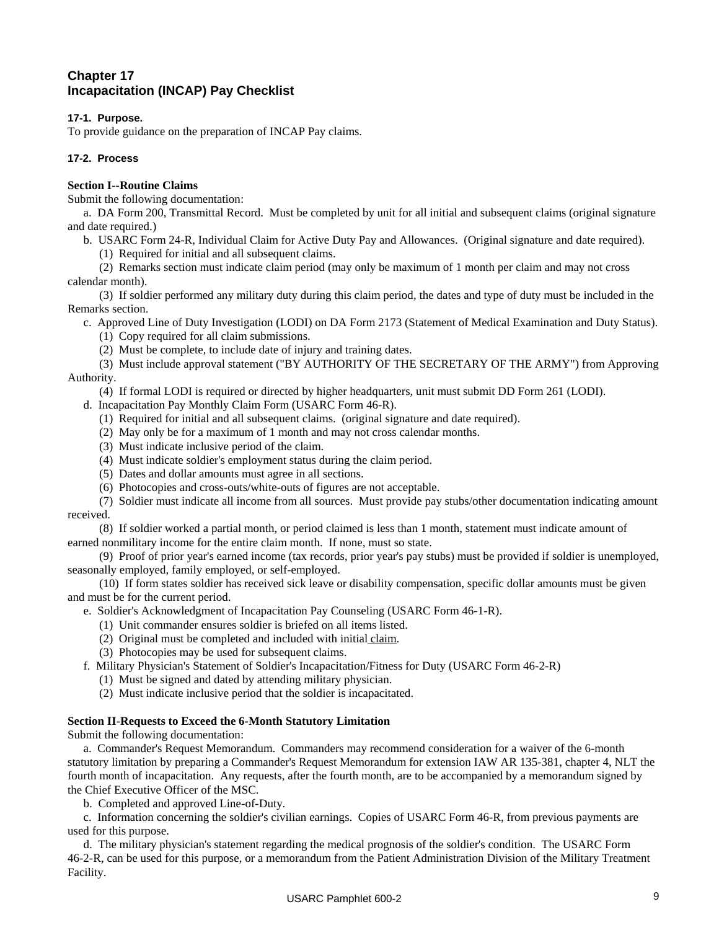## **Chapter 17 Incapacitation (INCAP) Pay Checklist**

#### **17-1. Purpose.**

To provide guidance on the preparation of INCAP Pay claims.

#### **17-2. Process**

#### **Section I--Routine Claims**

Submit the following documentation:

a. DA Form 200, Transmittal Record. Must be completed by unit for all initial and subsequent claims (original signature and date required.)

- b. USARC Form 24-R, Individual Claim for Active Duty Pay and Allowances. (Original signature and date required).
	- (1) Required for initial and all subsequent claims.

(2) Remarks section must indicate claim period (may only be maximum of 1 month per claim and may not cross calendar month).

(3) If soldier performed any military duty during this claim period, the dates and type of duty must be included in the Remarks section.

c. Approved Line of Duty Investigation (LODI) on DA Form 2173 (Statement of Medical Examination and Duty Status).

(1) Copy required for all claim submissions.

(2) Must be complete, to include date of injury and training dates.

(3) Must include approval statement ("BY AUTHORITY OF THE SECRETARY OF THE ARMY") from Approving Authority.

(4) If formal LODI is required or directed by higher headquarters, unit must submit DD Form 261 (LODI).

- d. Incapacitation Pay Monthly Claim Form (USARC Form 46-R).
	- (1) Required for initial and all subsequent claims. (original signature and date required).
	- (2) May only be for a maximum of 1 month and may not cross calendar months.
	- (3) Must indicate inclusive period of the claim.
	- (4) Must indicate soldier's employment status during the claim period.
	- (5) Dates and dollar amounts must agree in all sections.
	- (6) Photocopies and cross-outs/white-outs of figures are not acceptable.

(7) Soldier must indicate all income from all sources. Must provide pay stubs/other documentation indicating amount received.

(8) If soldier worked a partial month, or period claimed is less than 1 month, statement must indicate amount of earned nonmilitary income for the entire claim month. If none, must so state.

(9) Proof of prior year's earned income (tax records, prior year's pay stubs) must be provided if soldier is unemployed, seasonally employed, family employed, or self-employed.

(10) If form states soldier has received sick leave or disability compensation, specific dollar amounts must be given and must be for the current period.

e. Soldier's Acknowledgment of Incapacitation Pay Counseling (USARC Form 46-1-R).

- (1) Unit commander ensures soldier is briefed on all items listed.
- (2) Original must be completed and included with initial claim.
- (3) Photocopies may be used for subsequent claims.
- f. Military Physician's Statement of Soldier's Incapacitation/Fitness for Duty (USARC Form 46-2-R)
	- (1) Must be signed and dated by attending military physician.
	- (2) Must indicate inclusive period that the soldier is incapacitated.

#### **Section II-Requests to Exceed the 6-Month Statutory Limitation**

Submit the following documentation:

a. Commander's Request Memorandum. Commanders may recommend consideration for a waiver of the 6-month statutory limitation by preparing a Commander's Request Memorandum for extension IAW AR 135-381, chapter 4, NLT the fourth month of incapacitation. Any requests, after the fourth month, are to be accompanied by a memorandum signed by the Chief Executive Officer of the MSC.

b. Completed and approved Line-of-Duty.

c. Information concerning the soldier's civilian earnings. Copies of USARC Form 46-R, from previous payments are used for this purpose.

d. The military physician's statement regarding the medical prognosis of the soldier's condition. The USARC Form 46-2-R, can be used for this purpose, or a memorandum from the Patient Administration Division of the Military Treatment Facility.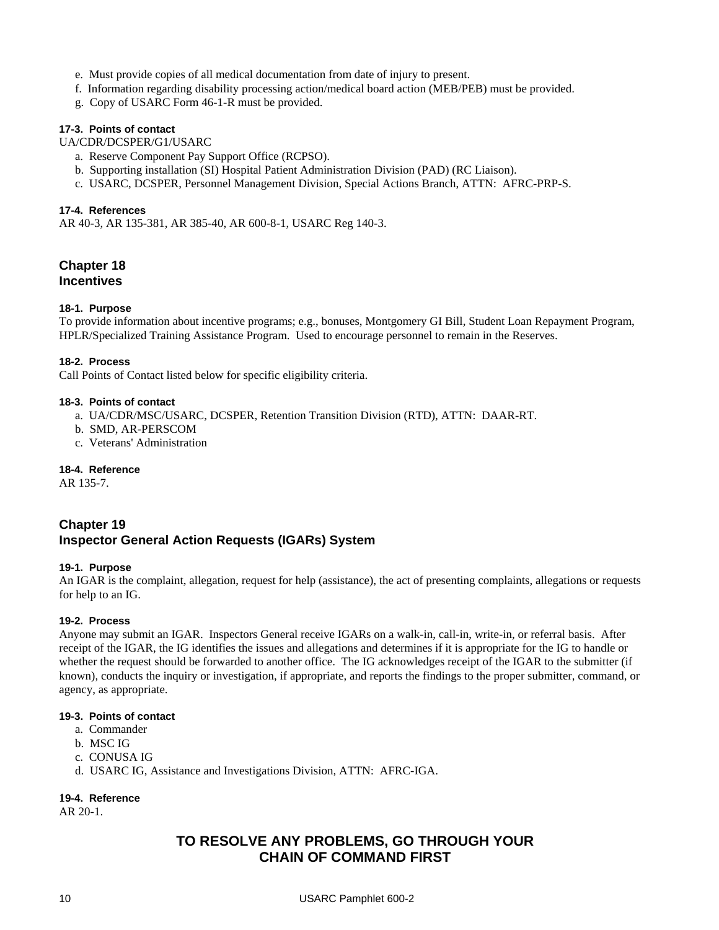- e. Must provide copies of all medical documentation from date of injury to present.
- f. Information regarding disability processing action/medical board action (MEB/PEB) must be provided.
- g. Copy of USARC Form 46-1-R must be provided.

#### **17-3. Points of contact**

UA/CDR/DCSPER/G1/USARC

- a. Reserve Component Pay Support Office (RCPSO).
- b. Supporting installation (SI) Hospital Patient Administration Division (PAD) (RC Liaison).
- c. USARC, DCSPER, Personnel Management Division, Special Actions Branch, ATTN: AFRC-PRP-S.

#### **17-4. References**

AR 40-3, AR 135-381, AR 385-40, AR 600-8-1, USARC Reg 140-3.

## **Chapter 18 Incentives**

#### **18-1. Purpose**

To provide information about incentive programs; e.g., bonuses, Montgomery GI Bill, Student Loan Repayment Program, HPLR/Specialized Training Assistance Program. Used to encourage personnel to remain in the Reserves.

#### **18-2. Process**

Call Points of Contact listed below for specific eligibility criteria.

#### **18-3. Points of contact**

- a. UA/CDR/MSC/USARC, DCSPER, Retention Transition Division (RTD), ATTN: DAAR-RT.
- b. SMD, AR-PERSCOM
- c. Veterans' Administration

#### **18-4. Reference**

AR 135-7.

## **Chapter 19 Inspector General Action Requests (IGARs) System**

#### **19-1. Purpose**

An IGAR is the complaint, allegation, request for help (assistance), the act of presenting complaints, allegations or requests for help to an IG.

#### **19-2. Process**

Anyone may submit an IGAR. Inspectors General receive IGARs on a walk-in, call-in, write-in, or referral basis. After receipt of the IGAR, the IG identifies the issues and allegations and determines if it is appropriate for the IG to handle or whether the request should be forwarded to another office. The IG acknowledges receipt of the IGAR to the submitter (if known), conducts the inquiry or investigation, if appropriate, and reports the findings to the proper submitter, command, or agency, as appropriate.

#### **19-3. Points of contact**

- a. Commander
- b. MSC IG
- c. CONUSA IG
- d. USARC IG, Assistance and Investigations Division, ATTN: AFRC-IGA.

#### **19-4. Reference**

AR 20-1.

## **TO RESOLVE ANY PROBLEMS, GO THROUGH YOUR CHAIN OF COMMAND FIRST**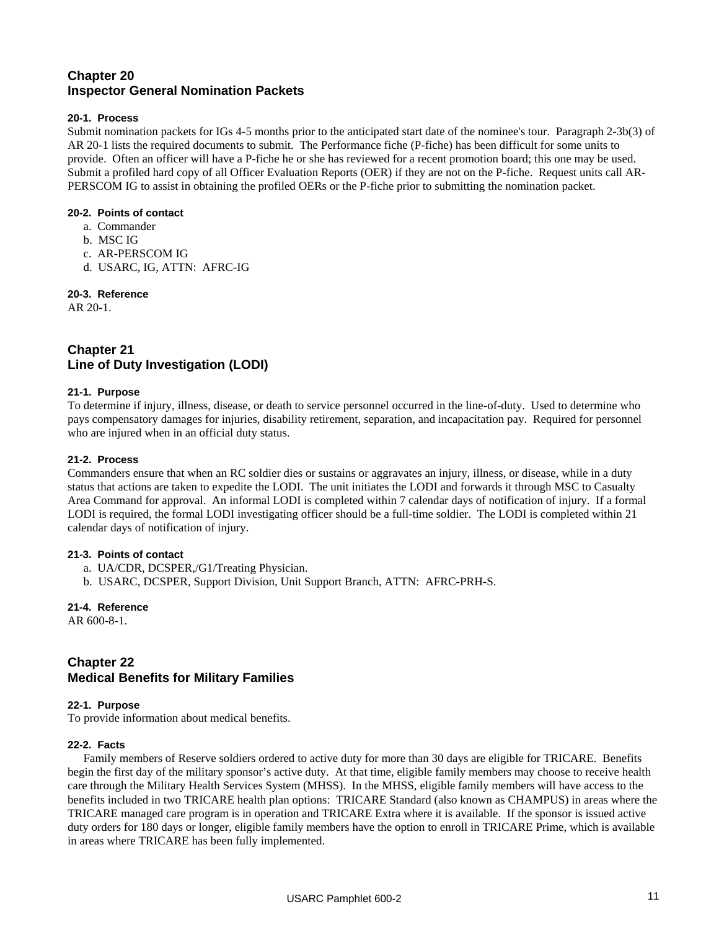## **Chapter 20 Inspector General Nomination Packets**

#### **20-1. Process**

Submit nomination packets for IGs 4-5 months prior to the anticipated start date of the nominee's tour. Paragraph 2-3b(3) of AR 20-1 lists the required documents to submit. The Performance fiche (P-fiche) has been difficult for some units to provide. Often an officer will have a P-fiche he or she has reviewed for a recent promotion board; this one may be used. Submit a profiled hard copy of all Officer Evaluation Reports (OER) if they are not on the P-fiche. Request units call AR-PERSCOM IG to assist in obtaining the profiled OERs or the P-fiche prior to submitting the nomination packet.

#### **20-2. Points of contact**

- a. Commander
- b. MSC IG
- c. AR-PERSCOM IG
- d. USARC, IG, ATTN: AFRC-IG

#### **20-3. Reference**

AR 20-1.

## **Chapter 21 Line of Duty Investigation (LODI)**

#### **21-1. Purpose**

To determine if injury, illness, disease, or death to service personnel occurred in the line-of-duty. Used to determine who pays compensatory damages for injuries, disability retirement, separation, and incapacitation pay. Required for personnel who are injured when in an official duty status.

#### **21-2. Process**

Commanders ensure that when an RC soldier dies or sustains or aggravates an injury, illness, or disease, while in a duty status that actions are taken to expedite the LODI. The unit initiates the LODI and forwards it through MSC to Casualty Area Command for approval. An informal LODI is completed within 7 calendar days of notification of injury. If a formal LODI is required, the formal LODI investigating officer should be a full-time soldier. The LODI is completed within 21 calendar days of notification of injury.

#### **21-3. Points of contact**

- a. UA/CDR, DCSPER,/G1/Treating Physician.
- b. USARC, DCSPER, Support Division, Unit Support Branch, ATTN: AFRC-PRH-S.

**21-4. Reference**  AR 600-8-1.

## **Chapter 22 Medical Benefits for Military Families**

#### **22-1. Purpose**

To provide information about medical benefits.

#### **22-2. Facts**

Family members of Reserve soldiers ordered to active duty for more than 30 days are eligible for TRICARE. Benefits begin the first day of the military sponsor's active duty. At that time, eligible family members may choose to receive health care through the Military Health Services System (MHSS). In the MHSS, eligible family members will have access to the benefits included in two TRICARE health plan options: TRICARE Standard (also known as CHAMPUS) in areas where the TRICARE managed care program is in operation and TRICARE Extra where it is available. If the sponsor is issued active duty orders for 180 days or longer, eligible family members have the option to enroll in TRICARE Prime, which is available in areas where TRICARE has been fully implemented.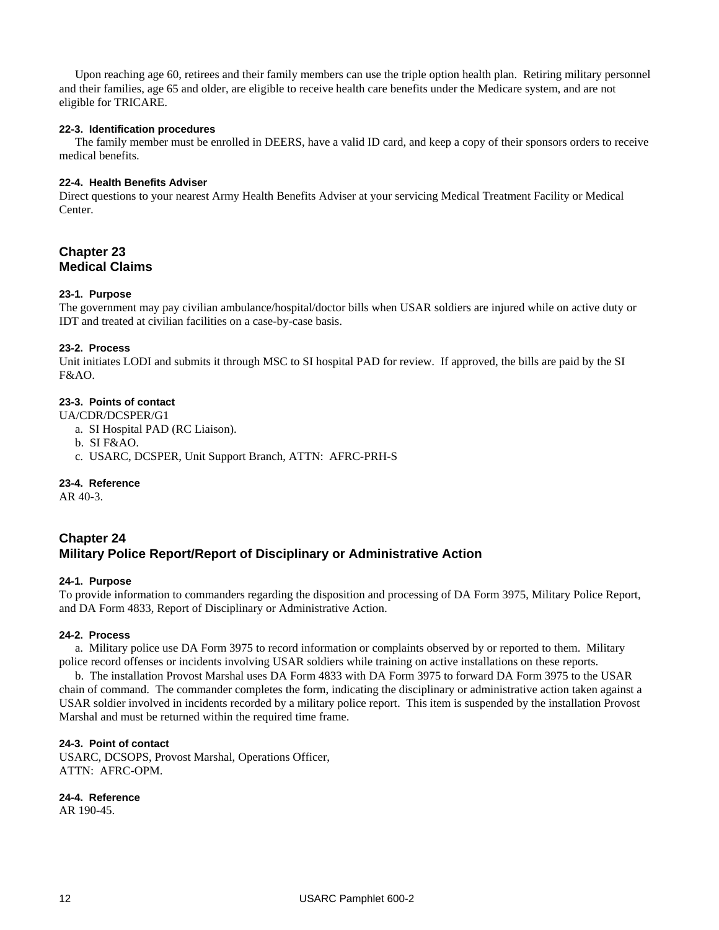Upon reaching age 60, retirees and their family members can use the triple option health plan. Retiring military personnel and their families, age 65 and older, are eligible to receive health care benefits under the Medicare system, and are not eligible for TRICARE.

#### **22-3. Identification procedures**

The family member must be enrolled in DEERS, have a valid ID card, and keep a copy of their sponsors orders to receive medical benefits.

#### **22-4. Health Benefits Adviser**

Direct questions to your nearest Army Health Benefits Adviser at your servicing Medical Treatment Facility or Medical Center.

## **Chapter 23 Medical Claims**

#### **23-1. Purpose**

The government may pay civilian ambulance/hospital/doctor bills when USAR soldiers are injured while on active duty or IDT and treated at civilian facilities on a case-by-case basis.

#### **23-2. Process**

Unit initiates LODI and submits it through MSC to SI hospital PAD for review. If approved, the bills are paid by the SI F&AO.

#### **23-3. Points of contact**

UA/CDR/DCSPER/G1

- a. SI Hospital PAD (RC Liaison).
- b. SI F&AO.
- c. USARC, DCSPER, Unit Support Branch, ATTN: AFRC-PRH-S

#### **23-4. Reference**

AR 40-3.

## **Chapter 24 Military Police Report/Report of Disciplinary or Administrative Action**

#### **24-1. Purpose**

To provide information to commanders regarding the disposition and processing of DA Form 3975, Military Police Report, and DA Form 4833, Report of Disciplinary or Administrative Action.

#### **24-2. Process**

a. Military police use DA Form 3975 to record information or complaints observed by or reported to them. Military police record offenses or incidents involving USAR soldiers while training on active installations on these reports.

b. The installation Provost Marshal uses DA Form 4833 with DA Form 3975 to forward DA Form 3975 to the USAR chain of command. The commander completes the form, indicating the disciplinary or administrative action taken against a USAR soldier involved in incidents recorded by a military police report. This item is suspended by the installation Provost Marshal and must be returned within the required time frame.

#### **24-3. Point of contact**

USARC, DCSOPS, Provost Marshal, Operations Officer, ATTN: AFRC-OPM.

**24-4. Reference** 

AR 190-45.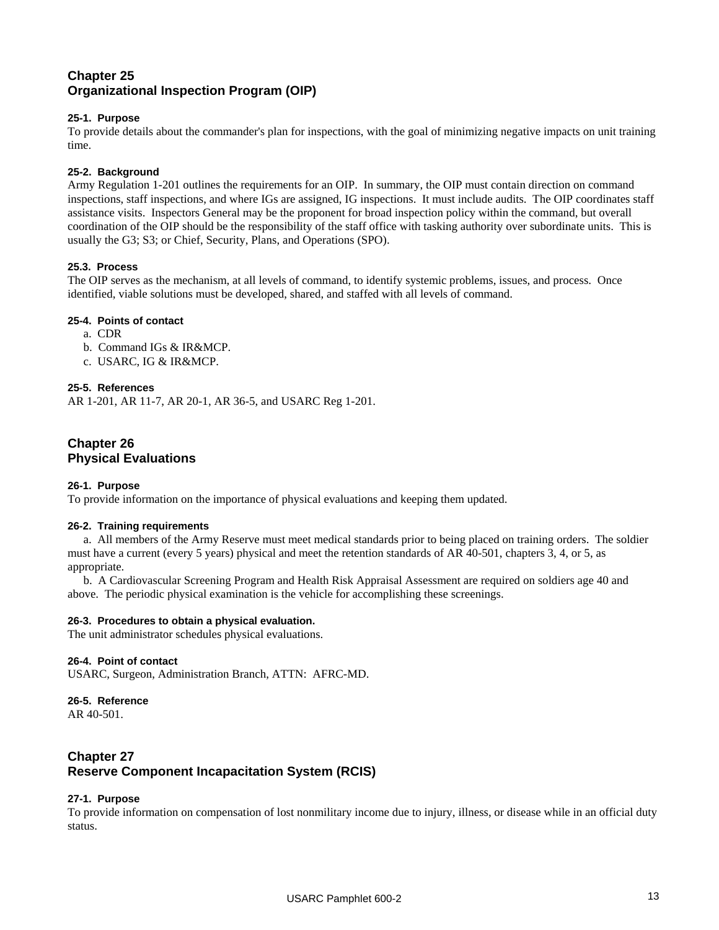## **Chapter 25 Organizational Inspection Program (OIP)**

#### **25-1. Purpose**

To provide details about the commander's plan for inspections, with the goal of minimizing negative impacts on unit training time.

#### **25-2. Background**

Army Regulation 1-201 outlines the requirements for an OIP. In summary, the OIP must contain direction on command inspections, staff inspections, and where IGs are assigned, IG inspections. It must include audits. The OIP coordinates staff assistance visits. Inspectors General may be the proponent for broad inspection policy within the command, but overall coordination of the OIP should be the responsibility of the staff office with tasking authority over subordinate units. This is usually the G3; S3; or Chief, Security, Plans, and Operations (SPO).

#### **25.3. Process**

The OIP serves as the mechanism, at all levels of command, to identify systemic problems, issues, and process. Once identified, viable solutions must be developed, shared, and staffed with all levels of command.

#### **25-4. Points of contact**

- a. CDR
- b. Command IGs & IR&MCP.
- c. USARC, IG & IR&MCP.

#### **25-5. References**

AR 1-201, AR 11-7, AR 20-1, AR 36-5, and USARC Reg 1-201.

## **Chapter 26 Physical Evaluations**

#### **26-1. Purpose**

To provide information on the importance of physical evaluations and keeping them updated.

#### **26-2. Training requirements**

a. All members of the Army Reserve must meet medical standards prior to being placed on training orders. The soldier must have a current (every 5 years) physical and meet the retention standards of AR 40-501, chapters 3, 4, or 5, as appropriate.

b. A Cardiovascular Screening Program and Health Risk Appraisal Assessment are required on soldiers age 40 and above. The periodic physical examination is the vehicle for accomplishing these screenings.

#### **26-3. Procedures to obtain a physical evaluation.**

The unit administrator schedules physical evaluations.

#### **26-4. Point of contact**

USARC, Surgeon, Administration Branch, ATTN: AFRC-MD.

#### **26-5. Reference**

AR 40-501.

## **Chapter 27 Reserve Component Incapacitation System (RCIS)**

#### **27-1. Purpose**

To provide information on compensation of lost nonmilitary income due to injury, illness, or disease while in an official duty status.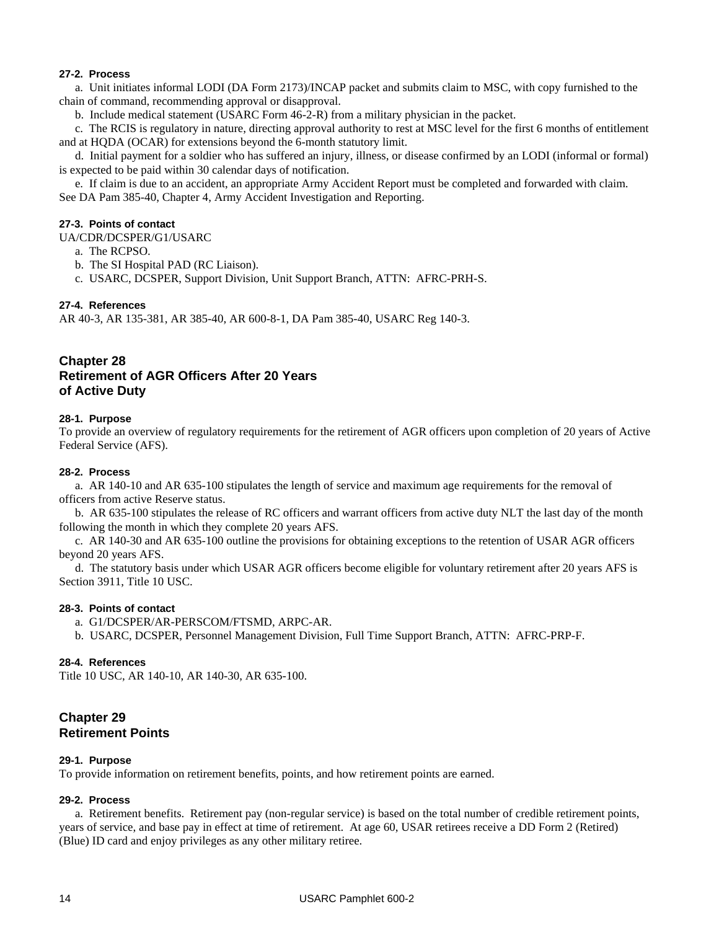#### **27-2. Process**

a. Unit initiates informal LODI (DA Form 2173)/INCAP packet and submits claim to MSC, with copy furnished to the chain of command, recommending approval or disapproval.

b. Include medical statement (USARC Form 46-2-R) from a military physician in the packet.

c. The RCIS is regulatory in nature, directing approval authority to rest at MSC level for the first 6 months of entitlement and at HQDA (OCAR) for extensions beyond the 6-month statutory limit.

d. Initial payment for a soldier who has suffered an injury, illness, or disease confirmed by an LODI (informal or formal) is expected to be paid within 30 calendar days of notification.

e. If claim is due to an accident, an appropriate Army Accident Report must be completed and forwarded with claim. See DA Pam 385-40, Chapter 4, Army Accident Investigation and Reporting.

#### **27-3. Points of contact**

UA/CDR/DCSPER/G1/USARC

- a. The RCPSO.
- b. The SI Hospital PAD (RC Liaison).
- c. USARC, DCSPER, Support Division, Unit Support Branch, ATTN: AFRC-PRH-S.

#### **27-4. References**

AR 40-3, AR 135-381, AR 385-40, AR 600-8-1, DA Pam 385-40, USARC Reg 140-3.

## **Chapter 28 Retirement of AGR Officers After 20 Years of Active Duty**

#### **28-1. Purpose**

To provide an overview of regulatory requirements for the retirement of AGR officers upon completion of 20 years of Active Federal Service (AFS).

#### **28-2. Process**

a. AR 140-10 and AR 635-100 stipulates the length of service and maximum age requirements for the removal of officers from active Reserve status.

b. AR 635-100 stipulates the release of RC officers and warrant officers from active duty NLT the last day of the month following the month in which they complete 20 years AFS.

c. AR 140-30 and AR 635-100 outline the provisions for obtaining exceptions to the retention of USAR AGR officers beyond 20 years AFS.

d. The statutory basis under which USAR AGR officers become eligible for voluntary retirement after 20 years AFS is Section 3911, Title 10 USC.

#### **28-3. Points of contact**

a. G1/DCSPER/AR-PERSCOM/FTSMD, ARPC-AR.

b. USARC, DCSPER, Personnel Management Division, Full Time Support Branch, ATTN: AFRC-PRP-F.

#### **28-4. References**

Title 10 USC, AR 140-10, AR 140-30, AR 635-100.

## **Chapter 29 Retirement Points**

#### **29-1. Purpose**

To provide information on retirement benefits, points, and how retirement points are earned.

#### **29-2. Process**

a. Retirement benefits. Retirement pay (non-regular service) is based on the total number of credible retirement points, years of service, and base pay in effect at time of retirement. At age 60, USAR retirees receive a DD Form 2 (Retired) (Blue) ID card and enjoy privileges as any other military retiree.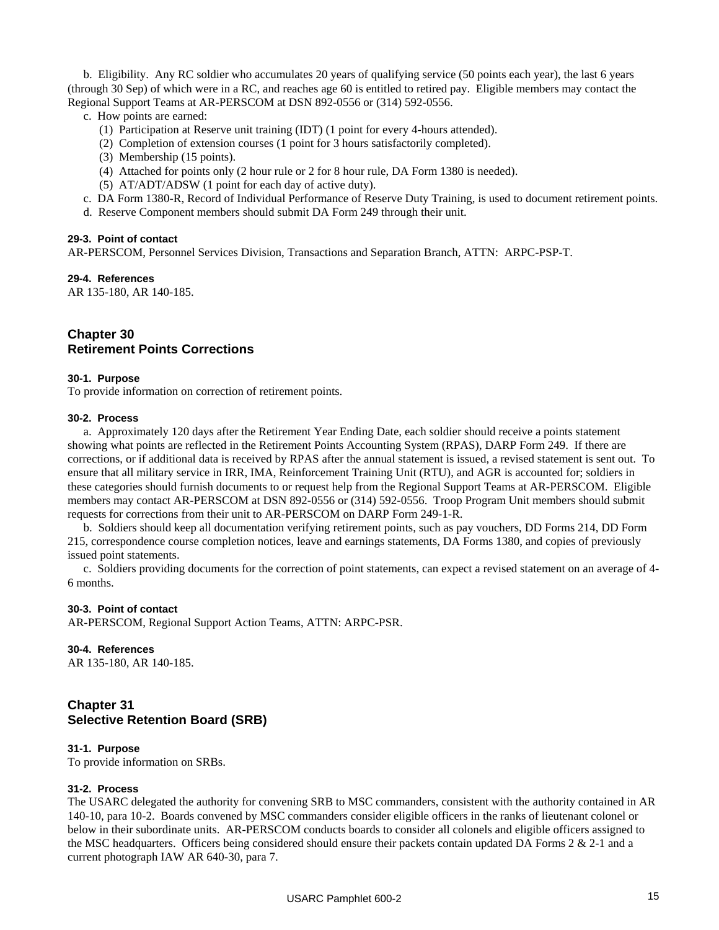b. Eligibility. Any RC soldier who accumulates 20 years of qualifying service (50 points each year), the last 6 years (through 30 Sep) of which were in a RC, and reaches age 60 is entitled to retired pay. Eligible members may contact the Regional Support Teams at AR-PERSCOM at DSN 892-0556 or (314) 592-0556.

- c. How points are earned:
	- (1) Participation at Reserve unit training (IDT) (1 point for every 4-hours attended).
	- (2) Completion of extension courses (1 point for 3 hours satisfactorily completed).
	- (3) Membership (15 points).
	- (4) Attached for points only (2 hour rule or 2 for 8 hour rule, DA Form 1380 is needed).
	- (5) AT/ADT/ADSW (1 point for each day of active duty).
- c. DA Form 1380-R, Record of Individual Performance of Reserve Duty Training, is used to document retirement points.
- d. Reserve Component members should submit DA Form 249 through their unit.

#### **29-3. Point of contact**

AR-PERSCOM, Personnel Services Division, Transactions and Separation Branch, ATTN: ARPC-PSP-T.

**29-4. References** 

AR 135-180, AR 140-185.

## **Chapter 30 Retirement Points Corrections**

#### **30-1. Purpose**

To provide information on correction of retirement points.

#### **30-2. Process**

a. Approximately 120 days after the Retirement Year Ending Date, each soldier should receive a points statement showing what points are reflected in the Retirement Points Accounting System (RPAS), DARP Form 249. If there are corrections, or if additional data is received by RPAS after the annual statement is issued, a revised statement is sent out. To ensure that all military service in IRR, IMA, Reinforcement Training Unit (RTU), and AGR is accounted for; soldiers in these categories should furnish documents to or request help from the Regional Support Teams at AR-PERSCOM. Eligible members may contact AR-PERSCOM at DSN 892-0556 or (314) 592-0556. Troop Program Unit members should submit requests for corrections from their unit to AR-PERSCOM on DARP Form 249-1-R.

b. Soldiers should keep all documentation verifying retirement points, such as pay vouchers, DD Forms 214, DD Form 215, correspondence course completion notices, leave and earnings statements, DA Forms 1380, and copies of previously issued point statements.

c. Soldiers providing documents for the correction of point statements, can expect a revised statement on an average of 4- 6 months.

#### **30-3. Point of contact**

AR-PERSCOM, Regional Support Action Teams, ATTN: ARPC-PSR.

#### **30-4. References**

AR 135-180, AR 140-185.

## **Chapter 31 Selective Retention Board (SRB)**

#### **31-1. Purpose**

To provide information on SRBs.

#### **31-2. Process**

The USARC delegated the authority for convening SRB to MSC commanders, consistent with the authority contained in AR 140-10, para 10-2. Boards convened by MSC commanders consider eligible officers in the ranks of lieutenant colonel or below in their subordinate units. AR-PERSCOM conducts boards to consider all colonels and eligible officers assigned to the MSC headquarters. Officers being considered should ensure their packets contain updated DA Forms  $2 \& 2-1$  and a current photograph IAW AR 640-30, para 7.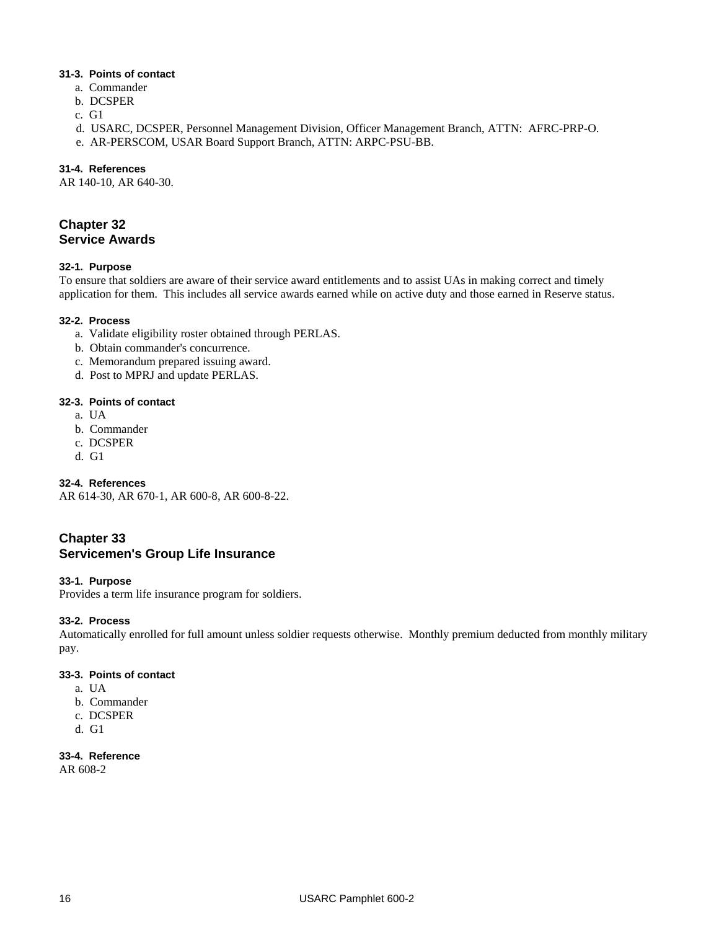#### **31-3. Points of contact**

- a. Commander
- b. DCSPER
- c. G1
- d. USARC, DCSPER, Personnel Management Division, Officer Management Branch, ATTN: AFRC-PRP-O.
- e. AR-PERSCOM, USAR Board Support Branch, ATTN: ARPC-PSU-BB.

#### **31-4. References**

AR 140-10, AR 640-30.

## **Chapter 32 Service Awards**

#### **32-1. Purpose**

To ensure that soldiers are aware of their service award entitlements and to assist UAs in making correct and timely application for them. This includes all service awards earned while on active duty and those earned in Reserve status.

#### **32-2. Process**

- a. Validate eligibility roster obtained through PERLAS.
- b. Obtain commander's concurrence.
- c. Memorandum prepared issuing award.
- d. Post to MPRJ and update PERLAS.

#### **32-3. Points of contact**

- a. UA
- b. Commander
- c. DCSPER
- d. G1

#### **32-4. References**

AR 614-30, AR 670-1, AR 600-8, AR 600-8-22.

## **Chapter 33 Servicemen's Group Life Insurance**

#### **33-1. Purpose**

Provides a term life insurance program for soldiers.

#### **33-2. Process**

Automatically enrolled for full amount unless soldier requests otherwise. Monthly premium deducted from monthly military pay.

#### **33-3. Points of contact**

- a. UA
- b. Commander
- c. DCSPER
- d. G1

## **33-4. Reference**

AR 608-2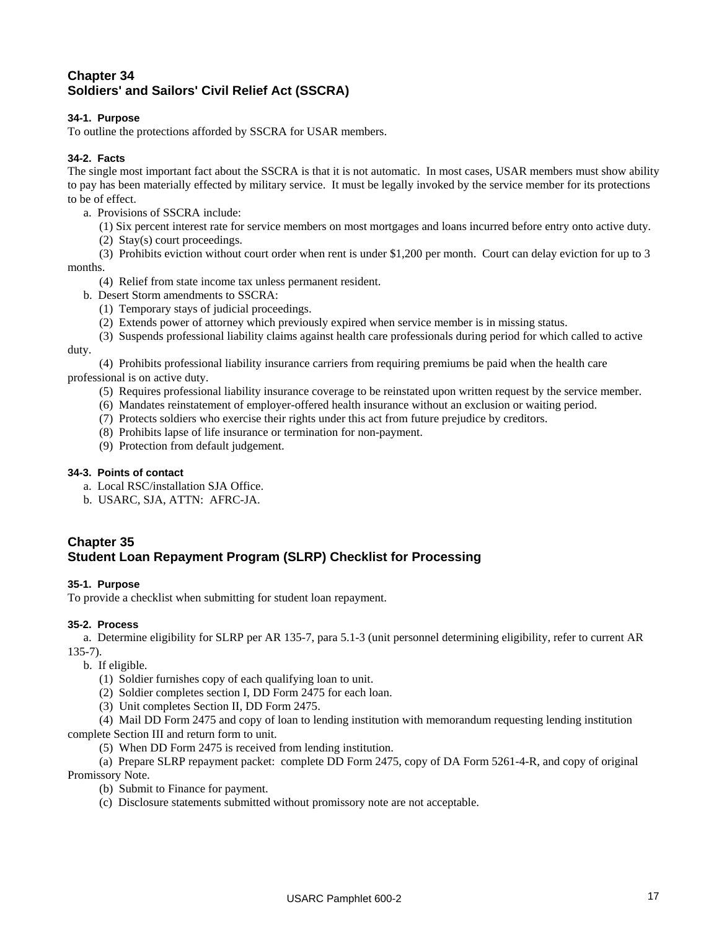## **Chapter 34 Soldiers' and Sailors' Civil Relief Act (SSCRA)**

#### **34-1. Purpose**

To outline the protections afforded by SSCRA for USAR members.

#### **34-2. Facts**

The single most important fact about the SSCRA is that it is not automatic. In most cases, USAR members must show ability to pay has been materially effected by military service. It must be legally invoked by the service member for its protections to be of effect.

- a. Provisions of SSCRA include:
	- (1) Six percent interest rate for service members on most mortgages and loans incurred before entry onto active duty.
	- (2) Stay(s) court proceedings.
- (3) Prohibits eviction without court order when rent is under \$1,200 per month. Court can delay eviction for up to 3

months.

- (4) Relief from state income tax unless permanent resident.
- b. Desert Storm amendments to SSCRA:
	- (1) Temporary stays of judicial proceedings.
	- (2) Extends power of attorney which previously expired when service member is in missing status.
	- (3) Suspends professional liability claims against health care professionals during period for which called to active

#### duty.

(4) Prohibits professional liability insurance carriers from requiring premiums be paid when the health care professional is on active duty.

- (5) Requires professional liability insurance coverage to be reinstated upon written request by the service member.
- (6) Mandates reinstatement of employer-offered health insurance without an exclusion or waiting period.
- (7) Protects soldiers who exercise their rights under this act from future prejudice by creditors.
- (8) Prohibits lapse of life insurance or termination for non-payment.
- (9) Protection from default judgement.

#### **34-3. Points of contact**

- a. Local RSC/installation SJA Office.
- b. USARC, SJA, ATTN: AFRC-JA.

## **Chapter 35 Student Loan Repayment Program (SLRP) Checklist for Processing**

#### **35-1. Purpose**

To provide a checklist when submitting for student loan repayment.

#### **35-2. Process**

a. Determine eligibility for SLRP per AR 135-7, para 5.1-3 (unit personnel determining eligibility, refer to current AR 135-7).

- b. If eligible.
	- (1) Soldier furnishes copy of each qualifying loan to unit.
	- (2) Soldier completes section I, DD Form 2475 for each loan.
	- (3) Unit completes Section II, DD Form 2475.

(4) Mail DD Form 2475 and copy of loan to lending institution with memorandum requesting lending institution complete Section III and return form to unit.

(5) When DD Form 2475 is received from lending institution.

(a) Prepare SLRP repayment packet: complete DD Form 2475, copy of DA Form 5261-4-R, and copy of original Promissory Note.

(b) Submit to Finance for payment.

(c) Disclosure statements submitted without promissory note are not acceptable.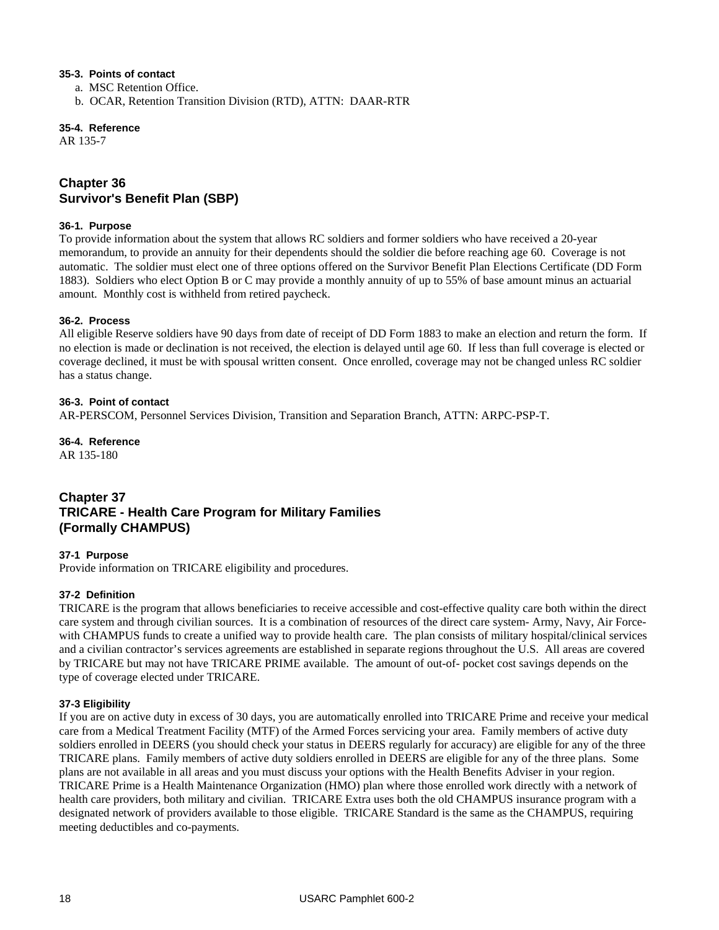#### **35-3. Points of contact**

- a. MSC Retention Office.
- b. OCAR, Retention Transition Division (RTD), ATTN: DAAR-RTR

**35-4. Reference** 

AR 135-7

## **Chapter 36 Survivor's Benefit Plan (SBP)**

#### **36-1. Purpose**

To provide information about the system that allows RC soldiers and former soldiers who have received a 20-year memorandum, to provide an annuity for their dependents should the soldier die before reaching age 60. Coverage is not automatic. The soldier must elect one of three options offered on the Survivor Benefit Plan Elections Certificate (DD Form 1883). Soldiers who elect Option B or C may provide a monthly annuity of up to 55% of base amount minus an actuarial amount. Monthly cost is withheld from retired paycheck.

#### **36-2. Process**

All eligible Reserve soldiers have 90 days from date of receipt of DD Form 1883 to make an election and return the form. If no election is made or declination is not received, the election is delayed until age 60. If less than full coverage is elected or coverage declined, it must be with spousal written consent. Once enrolled, coverage may not be changed unless RC soldier has a status change.

#### **36-3. Point of contact**

AR-PERSCOM, Personnel Services Division, Transition and Separation Branch, ATTN: ARPC-PSP-T.

## **36-4. Reference**

AR 135-180

## **Chapter 37 TRICARE - Health Care Program for Military Families (Formally CHAMPUS)**

#### **37-1 Purpose**

Provide information on TRICARE eligibility and procedures.

#### **37-2 Definition**

TRICARE is the program that allows beneficiaries to receive accessible and cost-effective quality care both within the direct care system and through civilian sources. It is a combination of resources of the direct care system- Army, Navy, Air Forcewith CHAMPUS funds to create a unified way to provide health care. The plan consists of military hospital/clinical services and a civilian contractor's services agreements are established in separate regions throughout the U.S. All areas are covered by TRICARE but may not have TRICARE PRIME available. The amount of out-of- pocket cost savings depends on the type of coverage elected under TRICARE.

#### **37-3 Eligibility**

If you are on active duty in excess of 30 days, you are automatically enrolled into TRICARE Prime and receive your medical care from a Medical Treatment Facility (MTF) of the Armed Forces servicing your area. Family members of active duty soldiers enrolled in DEERS (you should check your status in DEERS regularly for accuracy) are eligible for any of the three TRICARE plans. Family members of active duty soldiers enrolled in DEERS are eligible for any of the three plans. Some plans are not available in all areas and you must discuss your options with the Health Benefits Adviser in your region. TRICARE Prime is a Health Maintenance Organization (HMO) plan where those enrolled work directly with a network of health care providers, both military and civilian. TRICARE Extra uses both the old CHAMPUS insurance program with a designated network of providers available to those eligible. TRICARE Standard is the same as the CHAMPUS, requiring meeting deductibles and co-payments.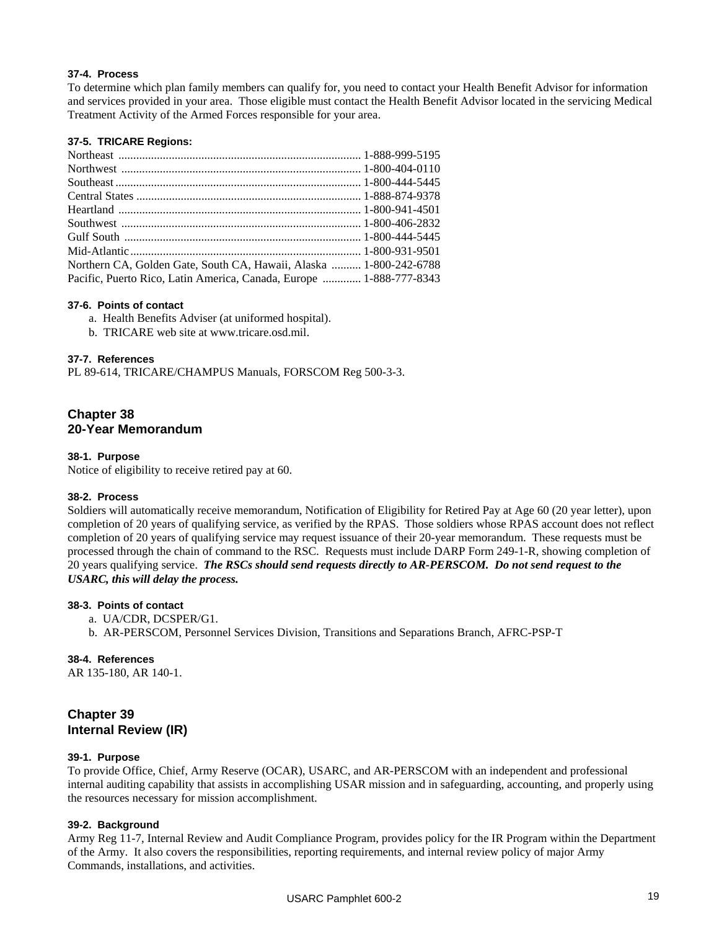#### **37-4. Process**

To determine which plan family members can qualify for, you need to contact your Health Benefit Advisor for information and services provided in your area. Those eligible must contact the Health Benefit Advisor located in the servicing Medical Treatment Activity of the Armed Forces responsible for your area.

#### **37-5. TRICARE Regions:**

| Northern CA, Golden Gate, South CA, Hawaii, Alaska  1-800-242-6788  |  |
|---------------------------------------------------------------------|--|
| Pacific, Puerto Rico, Latin America, Canada, Europe  1-888-777-8343 |  |
|                                                                     |  |

#### **37-6. Points of contact**

a. Health Benefits Adviser (at uniformed hospital).

b. TRICARE web site at www.tricare.osd.mil.

#### **37-7. References**

PL 89-614, TRICARE/CHAMPUS Manuals, FORSCOM Reg 500-3-3.

#### **Chapter 38 20-Year Memorandum**

#### **38-1. Purpose**

Notice of eligibility to receive retired pay at 60.

#### **38-2. Process**

Soldiers will automatically receive memorandum, Notification of Eligibility for Retired Pay at Age 60 (20 year letter), upon completion of 20 years of qualifying service, as verified by the RPAS. Those soldiers whose RPAS account does not reflect completion of 20 years of qualifying service may request issuance of their 20-year memorandum. These requests must be processed through the chain of command to the RSC. Requests must include DARP Form 249-1-R, showing completion of 20 years qualifying service. *The RSCs should send requests directly to AR-PERSCOM. Do not send request to the USARC, this will delay the process.*

#### **38-3. Points of contact**

- a. UA/CDR, DCSPER/G1.
- b. AR-PERSCOM, Personnel Services Division, Transitions and Separations Branch, AFRC-PSP-T

#### **38-4. References**

AR 135-180, AR 140-1.

## **Chapter 39 Internal Review (IR)**

#### **39-1. Purpose**

To provide Office, Chief, Army Reserve (OCAR), USARC, and AR-PERSCOM with an independent and professional internal auditing capability that assists in accomplishing USAR mission and in safeguarding, accounting, and properly using the resources necessary for mission accomplishment.

#### **39-2. Background**

Army Reg 11-7, Internal Review and Audit Compliance Program, provides policy for the IR Program within the Department of the Army. It also covers the responsibilities, reporting requirements, and internal review policy of major Army Commands, installations, and activities.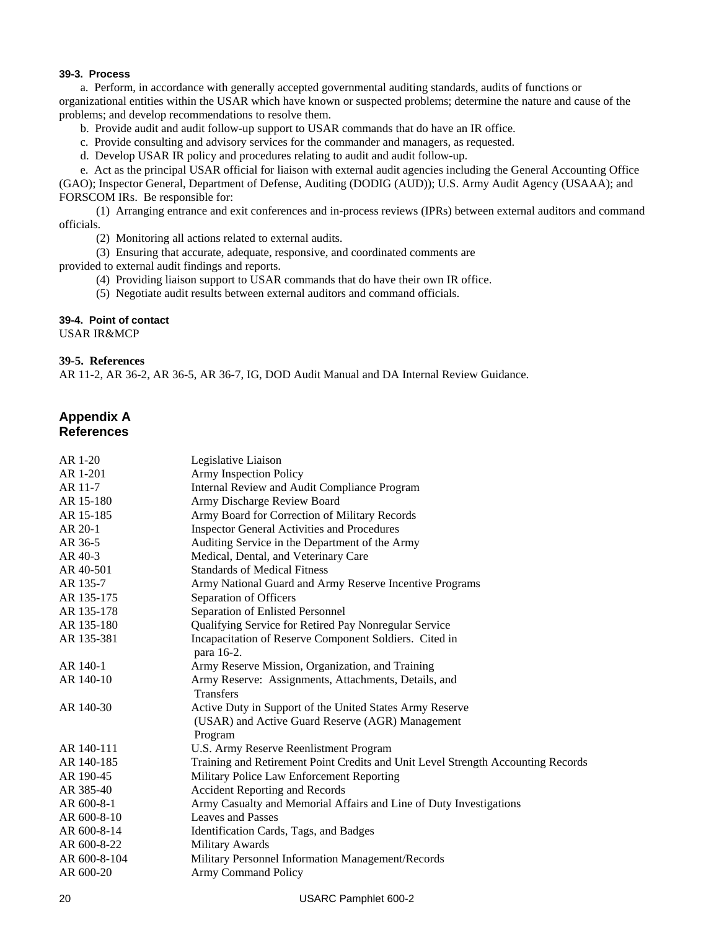#### **39-3. Process**

a. Perform, in accordance with generally accepted governmental auditing standards, audits of functions or organizational entities within the USAR which have known or suspected problems; determine the nature and cause of the problems; and develop recommendations to resolve them.

- b. Provide audit and audit follow-up support to USAR commands that do have an IR office.
- c. Provide consulting and advisory services for the commander and managers, as requested.
- d. Develop USAR IR policy and procedures relating to audit and audit follow-up.

e. Act as the principal USAR official for liaison with external audit agencies including the General Accounting Office

(GAO); Inspector General, Department of Defense, Auditing (DODIG (AUD)); U.S. Army Audit Agency (USAAA); and FORSCOM IRs. Be responsible for:

(1) Arranging entrance and exit conferences and in-process reviews (IPRs) between external auditors and command officials.

(2) Monitoring all actions related to external audits.

(3) Ensuring that accurate, adequate, responsive, and coordinated comments are

provided to external audit findings and reports.

- (4) Providing liaison support to USAR commands that do have their own IR office.
- (5) Negotiate audit results between external auditors and command officials.

#### **39-4. Point of contact**

USAR IR&MCP

#### **39-5. References**

AR 11-2, AR 36-2, AR 36-5, AR 36-7, IG, DOD Audit Manual and DA Internal Review Guidance.

## **Appendix A References**

| AR 1-20      | Legislative Liaison                                                              |
|--------------|----------------------------------------------------------------------------------|
| AR 1-201     | <b>Army Inspection Policy</b>                                                    |
| AR 11-7      | Internal Review and Audit Compliance Program                                     |
| AR 15-180    | Army Discharge Review Board                                                      |
| AR 15-185    | Army Board for Correction of Military Records                                    |
| AR 20-1      | <b>Inspector General Activities and Procedures</b>                               |
| AR 36-5      | Auditing Service in the Department of the Army                                   |
| AR 40-3      | Medical, Dental, and Veterinary Care                                             |
| AR 40-501    | <b>Standards of Medical Fitness</b>                                              |
| AR 135-7     | Army National Guard and Army Reserve Incentive Programs                          |
| AR 135-175   | Separation of Officers                                                           |
| AR 135-178   | Separation of Enlisted Personnel                                                 |
| AR 135-180   | Qualifying Service for Retired Pay Nonregular Service                            |
| AR 135-381   | Incapacitation of Reserve Component Soldiers. Cited in<br>para 16-2.             |
| AR 140-1     | Army Reserve Mission, Organization, and Training                                 |
| AR 140-10    | Army Reserve: Assignments, Attachments, Details, and<br><b>Transfers</b>         |
| AR 140-30    | Active Duty in Support of the United States Army Reserve                         |
|              | (USAR) and Active Guard Reserve (AGR) Management                                 |
|              | Program                                                                          |
| AR 140-111   | U.S. Army Reserve Reenlistment Program                                           |
| AR 140-185   | Training and Retirement Point Credits and Unit Level Strength Accounting Records |
| AR 190-45    | Military Police Law Enforcement Reporting                                        |
| AR 385-40    | <b>Accident Reporting and Records</b>                                            |
| AR 600-8-1   | Army Casualty and Memorial Affairs and Line of Duty Investigations               |
| AR 600-8-10  | <b>Leaves and Passes</b>                                                         |
| AR 600-8-14  | Identification Cards, Tags, and Badges                                           |
| AR 600-8-22  | Military Awards                                                                  |
| AR 600-8-104 | Military Personnel Information Management/Records                                |
| AR 600-20    | <b>Army Command Policy</b>                                                       |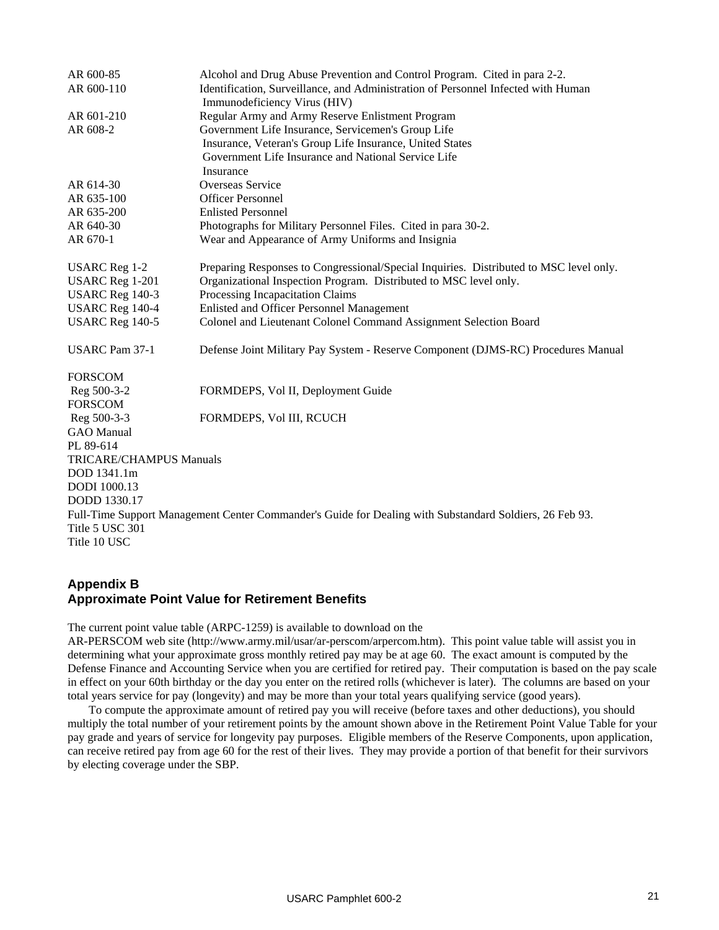| AR 600-85                                                                                               | Alcohol and Drug Abuse Prevention and Control Program. Cited in para 2-2.                                         |  |  |  |
|---------------------------------------------------------------------------------------------------------|-------------------------------------------------------------------------------------------------------------------|--|--|--|
| AR 600-110                                                                                              | Identification, Surveillance, and Administration of Personnel Infected with Human<br>Immunodeficiency Virus (HIV) |  |  |  |
| AR 601-210                                                                                              | Regular Army and Army Reserve Enlistment Program                                                                  |  |  |  |
| AR 608-2                                                                                                | Government Life Insurance, Servicemen's Group Life                                                                |  |  |  |
|                                                                                                         | Insurance, Veteran's Group Life Insurance, United States                                                          |  |  |  |
|                                                                                                         | Government Life Insurance and National Service Life                                                               |  |  |  |
|                                                                                                         | Insurance                                                                                                         |  |  |  |
| AR 614-30                                                                                               | Overseas Service                                                                                                  |  |  |  |
| AR 635-100                                                                                              | <b>Officer Personnel</b>                                                                                          |  |  |  |
| AR 635-200                                                                                              | <b>Enlisted Personnel</b>                                                                                         |  |  |  |
| AR 640-30                                                                                               | Photographs for Military Personnel Files. Cited in para 30-2.                                                     |  |  |  |
| AR 670-1                                                                                                | Wear and Appearance of Army Uniforms and Insignia                                                                 |  |  |  |
| <b>USARC</b> Reg 1-2                                                                                    | Preparing Responses to Congressional/Special Inquiries. Distributed to MSC level only.                            |  |  |  |
| <b>USARC</b> Reg 1-201                                                                                  | Organizational Inspection Program. Distributed to MSC level only.                                                 |  |  |  |
| USARC Reg 140-3                                                                                         | Processing Incapacitation Claims                                                                                  |  |  |  |
| <b>USARC</b> Reg 140-4                                                                                  | Enlisted and Officer Personnel Management                                                                         |  |  |  |
| <b>USARC</b> Reg 140-5                                                                                  | Colonel and Lieutenant Colonel Command Assignment Selection Board                                                 |  |  |  |
| <b>USARC</b> Pam 37-1                                                                                   | Defense Joint Military Pay System - Reserve Component (DJMS-RC) Procedures Manual                                 |  |  |  |
| <b>FORSCOM</b>                                                                                          |                                                                                                                   |  |  |  |
| Reg 500-3-2                                                                                             | FORMDEPS, Vol II, Deployment Guide                                                                                |  |  |  |
| <b>FORSCOM</b>                                                                                          |                                                                                                                   |  |  |  |
| Reg 500-3-3                                                                                             | FORMDEPS, Vol III, RCUCH                                                                                          |  |  |  |
| <b>GAO</b> Manual                                                                                       |                                                                                                                   |  |  |  |
| PL 89-614                                                                                               |                                                                                                                   |  |  |  |
| <b>TRICARE/CHAMPUS Manuals</b>                                                                          |                                                                                                                   |  |  |  |
| DOD 1341.1m                                                                                             |                                                                                                                   |  |  |  |
| DODI 1000.13                                                                                            |                                                                                                                   |  |  |  |
| DODD 1330.17                                                                                            |                                                                                                                   |  |  |  |
| Full-Time Support Management Center Commander's Guide for Dealing with Substandard Soldiers, 26 Feb 93. |                                                                                                                   |  |  |  |
| Title 5 USC 301                                                                                         |                                                                                                                   |  |  |  |
| Title 10 USC                                                                                            |                                                                                                                   |  |  |  |

## **Appendix B Approximate Point Value for Retirement Benefits**

The current point value table (ARPC-1259) is available to download on the

AR-PERSCOM web site (http://www.army.mil/usar/ar-perscom/arpercom.htm). This point value table will assist you in determining what your approximate gross monthly retired pay may be at age 60. The exact amount is computed by the Defense Finance and Accounting Service when you are certified for retired pay. Their computation is based on the pay scale in effect on your 60th birthday or the day you enter on the retired rolls (whichever is later). The columns are based on your total years service for pay (longevity) and may be more than your total years qualifying service (good years).

To compute the approximate amount of retired pay you will receive (before taxes and other deductions), you should multiply the total number of your retirement points by the amount shown above in the Retirement Point Value Table for your pay grade and years of service for longevity pay purposes. Eligible members of the Reserve Components, upon application, can receive retired pay from age 60 for the rest of their lives. They may provide a portion of that benefit for their survivors by electing coverage under the SBP.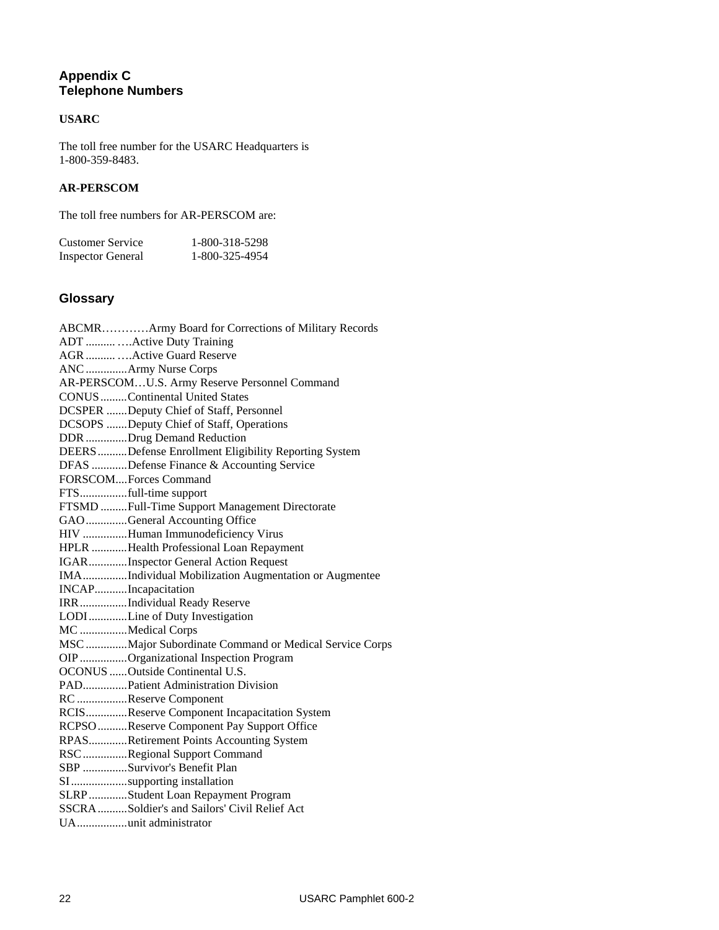## **Appendix C Telephone Numbers**

## **USARC**

The toll free number for the USARC Headquarters is 1-800-359-8483.

## **AR-PERSCOM**

The toll free numbers for AR-PERSCOM are:

| Customer Service         | 1-800-318-5298 |
|--------------------------|----------------|
| <b>Inspector General</b> | 1-800-325-4954 |

## **Glossary**

| ABCMRArmy Board for Corrections of Military Records    |
|--------------------------------------------------------|
| ADT   Active Duty Training                             |
| AGR   Active Guard Reserve                             |
| ANC Army Nurse Corps                                   |
| AR-PERSCOMU.S. Army Reserve Personnel Command          |
| <b>CONUS</b> Continental United States                 |
| DCSPER Deputy Chief of Staff, Personnel                |
| DCSOPS Deputy Chief of Staff, Operations               |
| DDR Drug Demand Reduction                              |
| DEERS Defense Enrollment Eligibility Reporting System  |
| DFAS Defense Finance & Accounting Service              |
| FORSCOMForces Command                                  |
| FTSfull-time support                                   |
| FTSMD Full-Time Support Management Directorate         |
| GAO General Accounting Office                          |
| HIV Human Immunodeficiency Virus                       |
| HPLR Health Professional Loan Repayment                |
| IGARInspector General Action Request                   |
| IMAIndividual Mobilization Augmentation or Augmentee   |
| INCAPIncapacitation                                    |
| IRRIndividual Ready Reserve                            |
| LODILine of Duty Investigation                         |
| MC Medical Corps                                       |
| MSC Major Subordinate Command or Medical Service Corps |
| OIP Organizational Inspection Program                  |
| OCONUS Outside Continental U.S.                        |
| PADPatient Administration Division                     |
| RC Reserve Component                                   |
| RCISReserve Component Incapacitation System            |
| RCPSO Reserve Component Pay Support Office             |
| RPASRetirement Points Accounting System                |
| RSCRegional Support Command                            |
| SBP Survivor's Benefit Plan                            |
| SIsupporting installation                              |
| SLRP Student Loan Repayment Program                    |
| SSCRA Soldier's and Sailors' Civil Relief Act          |
| UAunit administrator                                   |